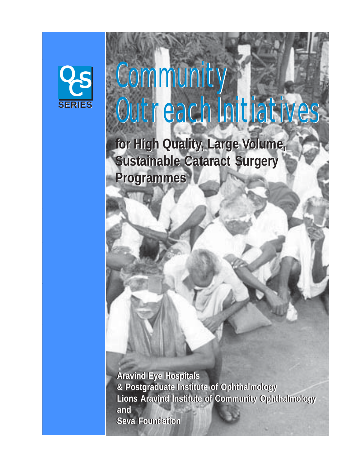

the contract of the contract of the contract of the contract of the contract of the contract of the contract of the control of the control of the control of the control of the control of the control of the control of the control of the control of the control of the control of the control of the control of the control of the control the contract of the contract of the contract of the contract of the contract of the contract of the contract of the contract of the contract of the contract of the contract of the contract of the contract of the contract of the contract of the contract of the contract of the contract of the contract of the contract of the contract of the contract of the contract of the contract of the contract of the contract of the contract of the contract of the contract of the contract of the contract of the contract of the contract of the contract of the contract of the contract of the contract of the contract of the contract of the contract of the contract of the contract of the control of the control of the control of the control of the control of the control of the control of the control of the control of the control of the control of the control of the control of the control of the control the contract of the contract of the contract of the contract of the contract of the contract of the contract of the contract of the contract of the contract of the contract of the contract of the contract of the contract of the contract of the contract of the contract of the contract of the contract of the contract of the contract of the contract of the contract of the contract of the contract of the contract of the contract of the contract of the contract of the contract of the contract of the contract of the contract of the contract of the contract of the contract of the contract of the contract of the contract of the contract of the contract of the contract of the control of the control of the control of the control of the control of the control of the control of the control of the control of the control of the control of the control of the control of the control of the control the contract of the contract of the contract of the contract of the contract of the contract of the contract of the contract of the contract of the contract of the contract of the contract of the contract of the contract of the contract of the contract of the contract of the contract of the contract of the contract of the contract of the contract of the contract of the contract of the contract of the contract of the contract of the contract of the contract of the contract of the contract of the contract of the contract of the contract of the contract of the contract of the contract of the contract of the contract of the contract of the contract of the contract of the control of the control of the control of the control of the control of the control of the control of the control of the control of the control of the control of the control of the control of the control of the control the contract of the contract of the contract of the contract of the contract of the contract of the contract of the contract of the contract of the contract of the contract of the contract of the contract of the contract of the contract of the contract of the contract of the contract of the contract of the contract of the contract of the control of the control of the control of the control of the control of the control of the control of the control of the control of the control of the control of the control of the control of the control of the control the contract of the contract of the contract of the contract of the contract of the contract of the contract of the contract of the contract of the contract of the contract of the contract of the contract of the contract of the contract of the contract of the contract of the contract of the contract of the contract of the contract of the contract of the contract of the contract of the contract of the contract of the contract of the contract of the contract of the contract of the contract of the contract of the contract of the contract of the contract of the contract of the contract of the contract of the contract of the contract of the contract of the contract of the control of the control of the control of the control of the control of the control of the control of the control of the control of the control of the control of the control of the control of the control of the control the contract of the contract of the contract of the contract of the contract of the contract of the contract of the contract of the contract of the contract of the contract of the contract of the contract of the contract of the contract of the contract of the contract of the contract of the contract of the contract of the contract of the contract of the contract of the contract of the contract of the contract of the contract of the contract of the contract of the contract of the contract of the contract of the contract of the contract of the contract of the contract of the contract of the contract of the contract of the contract of the contract of the contract of the control of the control of the control of the control of the control of the control of the control of the control of the control of the control of the control of the control of the control of the control of the control the contract of the contract of the contract of the contract of the contract of the contract of the contract of the contract of the contract of the contract of the contract of the contract of the contract of the contract of the contract of the contract of the contract of the contract of the contract of the contract of the contract of the contract of the contract of the contract of the contract of the contract of the contract of the contract of the contract of the contract of the contract of the contract of the contract of the contract of the contract of the contract of the contract of the contract of the contract of the contract of the contract of the contract of

the contract of the contract of the contract of the contract of the contract of the contract of the contract of the contract of the contract of the contract of the contract of the contract of the contract of the contract of the contract of the contract of the contract of the contract of the contract of the contract of the contract of the control of the control of the control of the control of the control of the control of the control of the control of the control of the control of the control of the control of the control of the control of the control the contract of the contract of the contract of the contract of the contract of the contract of the contract of

# Community Outreach Initiatives Outreach Initiatives

**for High Quality, Large Volume, for High Quality, Large Volume, Sustainable Cataract Surgery Sustainable Cataract Surgery Programmes Programmes**

**Aravind Eye Hospitals Aravind Eye Hospitals & Postgraduate Institute of Ophthalmology & Postgraduate Institute of Ophthalmology Lions Aravind Institute of Community Ophthalmology Lions Aravind Institute of Community Ophthalmology and and Seva Foundation Seva Foundation**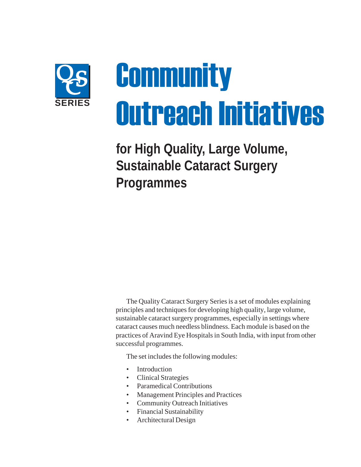

# **Community Outreach Initiatives**

**for High Quality, Large Volume, Sustainable Cataract Surgery Programmes**

The Quality Cataract Surgery Series is a set of modules explaining principles and techniques for developing high quality, large volume, sustainable cataract surgery programmes, especially in settings where cataract causes much needless blindness. Each module is based on the practices of Aravind Eye Hospitals in South India, with input from other successful programmes.

The set includes the following modules:

- **Introduction**
- Clinical Strategies
- Paramedical Contributions
- Management Principles and Practices
- Community Outreach Initiatives
- Financial Sustainability
- Architectural Design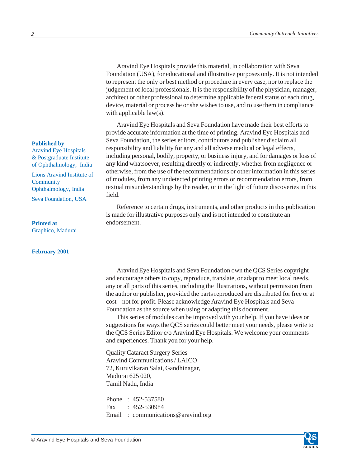Aravind Eye Hospitals provide this material, in collaboration with Seva Foundation (USA), for educational and illustrative purposes only. It is not intended to represent the only or best method or procedure in every case, nor to replace the judgement of local professionals. It is the responsibility of the physician, manager, architect or other professional to determine applicable federal status of each drug, device, material or process he or she wishes to use, and to use them in compliance with applicable law(s).

Aravind Eye Hospitals and Seva Foundation have made their best efforts to provide accurate information at the time of printing. Aravind Eye Hospitals and Seva Foundation, the series editors, contributors and publisher disclaim all responsibility and liability for any and all adverse medical or legal effects, including personal, bodily, property, or business injury, and for damages or loss of any kind whatsoever, resulting directly or indirectly, whether from negligence or otherwise, from the use of the recommendations or other information in this series of modules, from any undetected printing errors or recommendation errors, from textual misunderstandings by the reader, or in the light of future discoveries in this field.

Reference to certain drugs, instruments, and other products in this publication is made for illustrative purposes only and is not intended to constitute an endorsement.

Aravind Eye Hospitals and Seva Foundation own the QCS Series copyright and encourage others to copy, reproduce, translate, or adapt to meet local needs, any or all parts of this series, including the illustrations, without permission from the author or publisher, provided the parts reproduced are distributed for free or at cost – not for profit. Please acknowledge Aravind Eye Hospitals and Seva Foundation as the source when using or adapting this document.

This series of modules can be improved with your help. If you have ideas or suggestions for ways the QCS series could better meet your needs, please write to the QCS Series Editor c/o Aravind Eye Hospitals. We welcome your comments and experiences. Thank you for your help.

Quality Cataract Surgery Series Aravind Communications / LAICO 72, Kuruvikaran Salai, Gandhinagar, Madurai 625 020, Tamil Nadu, India

Phone : 452-537580 Fax : 452-530984 Email : communications@aravind.org

#### **Published by**

Aravind Eye Hospitals & Postgraduate Institute of Ophthalmology, India

Lions Aravind Institute of **Community** Ophthalmology, India

Seva Foundation, USA

### **Printed at**

Graphico, Madurai

#### **February 2001**

*2*

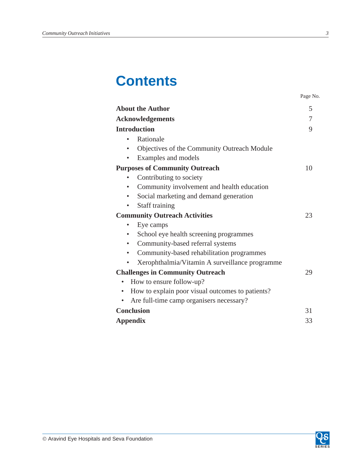# **Contents**

| <b>About the Author</b>                                       | 5  |
|---------------------------------------------------------------|----|
| <b>Acknowledgements</b>                                       | 7  |
| <b>Introduction</b>                                           | 9  |
| Rationale<br>$\bullet$                                        |    |
| Objectives of the Community Outreach Module                   |    |
| Examples and models<br>$\bullet$                              |    |
| <b>Purposes of Community Outreach</b>                         | 10 |
| Contributing to society                                       |    |
| Community involvement and health education<br>$\bullet$       |    |
| Social marketing and demand generation                        |    |
| Staff training<br>$\bullet$                                   |    |
| <b>Community Outreach Activities</b>                          | 23 |
| Eye camps<br>٠                                                |    |
| School eye health screening programmes<br>$\bullet$           |    |
| Community-based referral systems<br>$\bullet$                 |    |
| Community-based rehabilitation programmes<br>$\bullet$        |    |
| Xerophthalmia/Vitamin A surveillance programme                |    |
| <b>Challenges in Community Outreach</b>                       | 29 |
| How to ensure follow-up?<br>$\bullet$                         |    |
| How to explain poor visual outcomes to patients?<br>$\bullet$ |    |
| Are full-time camp organisers necessary?                      |    |
| <b>Conclusion</b>                                             | 31 |
| <b>Appendix</b>                                               | 33 |

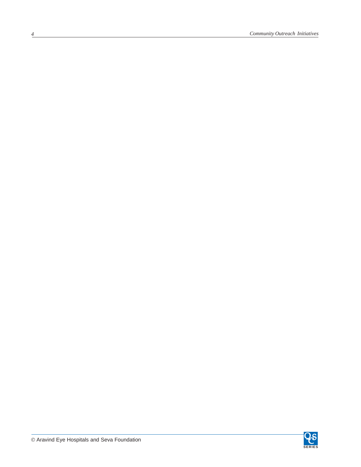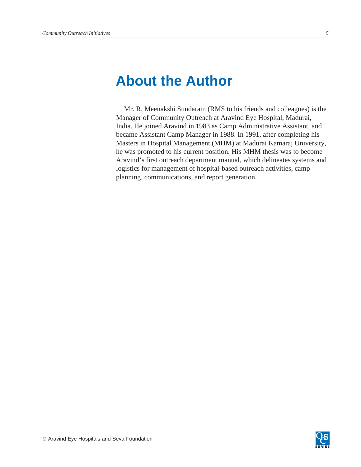# <span id="page-5-0"></span>**About the Author**

Mr. R. Meenakshi Sundaram (RMS to his friends and colleagues) is the Manager of Community Outreach at Aravind Eye Hospital, Madurai, India. He joined Aravind in 1983 as Camp Administrative Assistant, and became Assistant Camp Manager in 1988. In 1991, after completing his Masters in Hospital Management (MHM) at Madurai Kamaraj University, he was promoted to his current position. His MHM thesis was to become Aravind's first outreach department manual, which delineates systems and logistics for management of hospital-based outreach activities, camp planning, communications, and report generation.

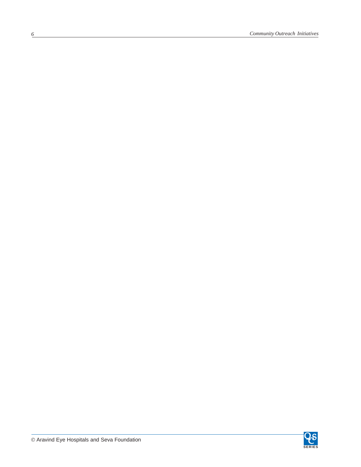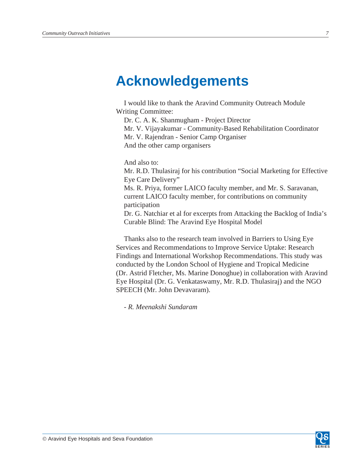## <span id="page-7-0"></span>**Acknowledgements**

I would like to thank the Aravind Community Outreach Module Writing Committee:

Dr. C. A. K. Shanmugham - Project Director

Mr. V. Vijayakumar - Community-Based Rehabilitation Coordinator

Mr. V. Rajendran - Senior Camp Organiser

And the other camp organisers

And also to:

Mr. R.D. Thulasiraj for his contribution "Social Marketing for Effective Eye Care Delivery"

Ms. R. Priya, former LAICO faculty member, and Mr. S. Saravanan, current LAICO faculty member, for contributions on community participation

Dr. G. Natchiar et al for excerpts from Attacking the Backlog of India's Curable Blind: The Aravind Eye Hospital Model

Thanks also to the research team involved in Barriers to Using Eye Services and Recommendations to Improve Service Uptake: Research Findings and International Workshop Recommendations. This study was conducted by the London School of Hygiene and Tropical Medicine (Dr. Astrid Fletcher, Ms. Marine Donoghue) in collaboration with Aravind Eye Hospital (Dr. G. Venkataswamy, Mr. R.D. Thulasiraj) and the NGO SPEECH (Mr. John Devavaram).

- *R. Meenakshi Sundaram*

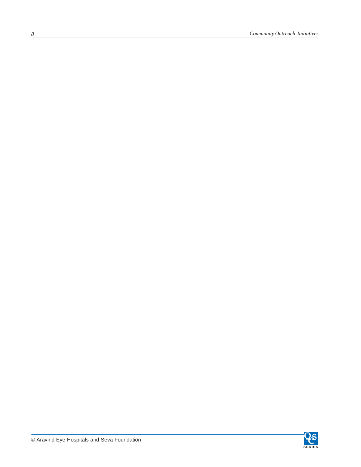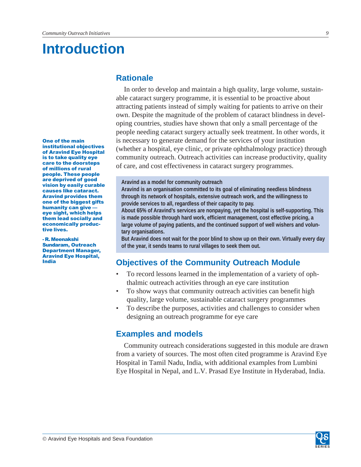# <span id="page-9-0"></span>**Introduction**

One of the main institutional objectives of Aravind Eye Hospital is to take quality eye care to the doorsteps of millions of rural people. These people are deprived of good vision by easily curable causes like cataract. **Aravind provides them** one of the biggest gifts humanity can give eye sight, which helps them lead socially and economically productive lives.

<u>- R. Meenakshi</u> **Sundaram, Outreach Department Manager, Aravind Eye Hospital,** India

### **Rationale**

In order to develop and maintain a high quality, large volume, sustainable cataract surgery programme, it is essential to be proactive about attracting patients instead of simply waiting for patients to arrive on their own. Despite the magnitude of the problem of cataract blindness in developing countries, studies have shown that only a small percentage of the people needing cataract surgery actually seek treatment. In other words, it is necessary to generate demand for the services of your institution (whether a hospital, eye clinic, or private ophthalmology practice) through community outreach. Outreach activities can increase productivity, quality of care, and cost effectiveness in cataract surgery programmes.

#### **Aravind as a model for community outreach**

**Aravind is an organisation committed to its goal of eliminating needless blindness through its network of hospitals, extensive outreach work, and the willingness to provide services to all, regardless of their capacity to pay.**

**About 65% of Aravind's services are nonpaying, yet the hospital is self-supporting. This is made possible through hard work, efficient management, cost effective pricing, a large volume of paying patients, and the continued support of well wishers and voluntary organisations.**

**But Aravind does not wait for the poor blind to show up on their own. Virtually every day of the year, it sends teams to rural villages to seek them out.**

### **Objectives of the Community Outreach Module**

- To record lessons learned in the implementation of a variety of ophthalmic outreach activities through an eye care institution
- To show ways that community outreach activities can benefit high quality, large volume, sustainable cataract surgery programmes
- To describe the purposes, activities and challenges to consider when designing an outreach programme for eye care

### **Examples and models**

Community outreach considerations suggested in this module are drawn from a variety of sources. The most often cited programme is Aravind Eye Hospital in Tamil Nadu, India, with additional examples from Lumbini Eye Hospital in Nepal, and L.V. Prasad Eye Institute in Hyderabad, India.

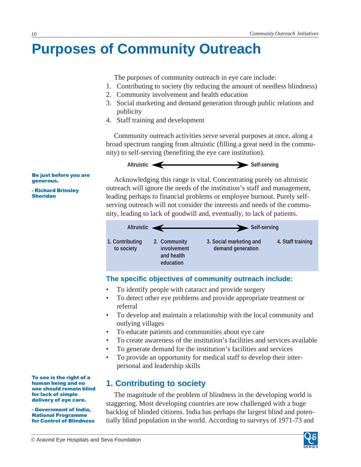# <span id="page-10-0"></span>**Purposes of Community Outreach**

The purposes of community outreach in eye care include:

- 1. Contributing to society (by reducing the amount of needless blindness)
- 2. Community involvement and health education
- 3. Social marketing and demand generation through public relations and publicity
- 4. Staff training and development

Community outreach activities serve several purposes at once, along a broad spectrum ranging from altruistic (filling a great need in the community) to self-serving (benefiting the eye care institution).

Altruistic Self-serving

Acknowledging this range is vital. Concentrating purely on altruistic outreach will ignore the needs of the institution's staff and management, leading perhaps to financial problems or employee burnout. Purely selfserving outreach will not consider the interests and needs of the community, leading to lack of goodwill and, eventually, to lack of patients.



### **The specific objectives of community outreach include:**

- To identify people with cataract and provide surgery
- To detect other eye problems and provide appropriate treatment or referral
- To develop and maintain a relationship with the local community and outlying villages
- To educate patients and communities about eye care
- To create awareness of the institution's facilities and services available
- To generate demand for the institution's facilities and services
- To provide an opportunity for medical staff to develop their interpersonal and leadership skills

### **1. Contributing to society**

The magnitude of the problem of blindness in the developing world is staggering. Most developing countries are now challenged with a huge backlog of blinded citizens. India has perhaps the largest blind and potentially blind population in the world. According to surveys of 1971-73 and

To see is the right of a human being and no one should remain blind for lack of simple delivery of eye care.

**Be just before you are** 

- Richard Brinsley

generous.

**Sheridan** 

#### - Government of India, **National Programme** for Control of Blindness

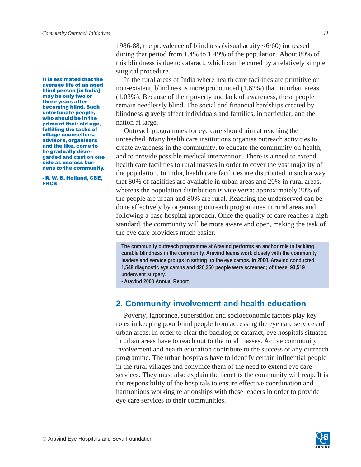<span id="page-11-0"></span>It is estimated that the average life of an aged blind person [in India] may be only two or three years after becoming blind. Such unfortunate people, who should be in the prime of their old age, fulfilling the tasks of village counsellors, advisors, organisers and the like, come to be gradually disregarded and cast on one side as useless burdens to the community.

- R. W. B. Holland, CBE, **FRCS** 

1986-88, the prevalence of blindness (visual acuity  $\langle 6/60 \rangle$ ) increased during that period from 1.4% to 1.49% of the population. About 80% of this blindness is due to cataract, which can be cured by a relatively simple surgical procedure.

In the rural areas of India where health care facilities are primitive or non-existent, blindness is more pronounced (1.62%) than in urban areas (1.03%). Because of their poverty and lack of awareness, these people remain needlessly blind. The social and financial hardships created by blindness gravely affect individuals and families, in particular, and the nation at large.

Outreach programmes for eye care should aim at reaching the unreached. Many health care institutions organise outreach activities to create awareness in the community, to educate the community on health, and to provide possible medical intervention. There is a need to extend health care facilities to rural masses in order to cover the vast majority of the population. In India, health care facilities are distributed in such a way that 80% of facilities are available in urban areas and 20% in rural areas, whereas the population distribution is vice versa: approximately 20% of the people are urban and 80% are rural. Reaching the underserved can be done effectively by organising outreach programmes in rural areas and following a base hospital approach. Once the quality of care reaches a high standard, the community will be more aware and open, making the task of the eye care providers much easier.

**The community outreach programme at Aravind performs an anchor role in tackling curable blindness in the community. Aravind teams work closely with the community leaders and service groups in setting up the eye camps. In 2000, Aravind conducted 1,548 diagnostic eye camps and 426,350 people were screened; of these, 93,519 underwent surgery.**

**- Aravind 2000 Annual Report**

### **2. Community involvement and health education**

Poverty, ignorance, superstition and socioeconomic factors play key roles in keeping poor blind people from accessing the eye care services of urban areas. In order to clear the backlog of cataract, eye hospitals situated in urban areas have to reach out to the rural masses. Active community involvement and health education contribute to the success of any outreach programme. The urban hospitals have to identify certain influential people in the rural villages and convince them of the need to extend eye care services. They must also explain the benefits the community will reap. It is the responsibility of the hospitals to ensure effective coordination and harmonious working relationships with these leaders in order to provide eye care services to their communities.

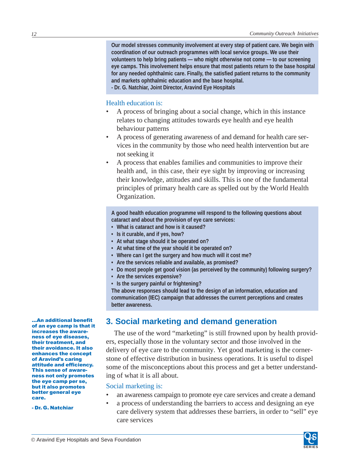<span id="page-12-0"></span>**Our model stresses community involvement at every step of patient care. We begin with coordination of our outreach programmes with local service groups. We use their volunteers to help bring patients — who might otherwise not come — to our screening eye camps. This involvement helps ensure that most patients return to the base hospital for any needed ophthalmic care. Finally, the satisfied patient returns to the community and markets ophthalmic education and the base hospital. - Dr. G. Natchiar, Joint Director, Aravind Eye Hospitals**

#### Health education is:

- A process of bringing about a social change, which in this instance relates to changing attitudes towards eye health and eye health behaviour patterns
- A process of generating awareness of and demand for health care services in the community by those who need health intervention but are not seeking it
- A process that enables families and communities to improve their health and, in this case, their eye sight by improving or increasing their knowledge, attitudes and skills. This is one of the fundamental principles of primary health care as spelled out by the World Health Organization.

**A good health education programme will respond to the following questions about cataract and about the provision of eye care services:**

- **What is cataract and how is it caused?**
- **Is it curable, and if yes, how?**
- **At what stage should it be operated on?**
- **At what time of the year should it be operated on?**
- **Where can I get the surgery and how much will it cost me?**
- **Are the services reliable and available, as promised?**
- **Do most people get good vision (as perceived by the community) following surgery?**
- **Are the services expensive?**
- **Is the surgery painful or frightening?**

**The above responses should lead to the design of an information, education and communication (IEC) campaign that addresses the current perceptions and creates better awareness.**

### **3. Social marketing and demand generation**

The use of the word "marketing" is still frowned upon by health providers, especially those in the voluntary sector and those involved in the delivery of eye care to the community. Yet good marketing is the cornerstone of effective distribution in business operations. It is useful to dispel some of the misconceptions about this process and get a better understanding of what it is all about.

### Social marketing is:

- an awareness campaign to promote eye care services and create a demand
- a process of understanding the barriers to access and designing an eye care delivery system that addresses these barriers, in order to "sell" eye care services

...An additional benefit of an eye camp is that it increases the awareness of eye diseases, their treatment, and their avoidance. It also enhances the concept of Aravind's caring attitude and efficiency. This sense of awareness not only promotes the eye camp per se, but it also promotes better general eye care.

- Dr. G. Natchiar

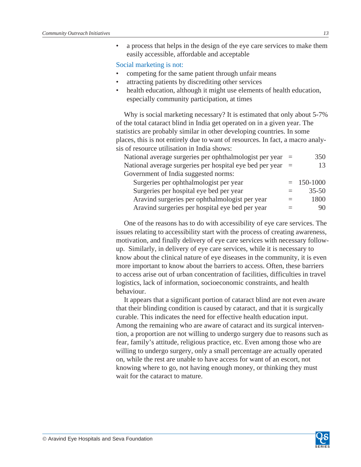• a process that helps in the design of the eye care services to make them easily accessible, affordable and acceptable

### Social marketing is not:

- competing for the same patient through unfair means
- attracting patients by discrediting other services
- health education, although it might use elements of health education, especially community participation, at times

Why is social marketing necessary? It is estimated that only about 5-7% of the total cataract blind in India get operated on in a given year. The statistics are probably similar in other developing countries. In some places, this is not entirely due to want of resources. In fact, a macro analysis of resource utilisation in India shows:

| National average surgeries per ophthalmologist per year $=$  |    | 350            |
|--------------------------------------------------------------|----|----------------|
| National average surgeries per hospital eye bed per year $=$ |    |                |
| Government of India suggested norms:                         |    |                |
| Surgeries per ophthalmologist per year                       |    | $= 150 - 1000$ |
| Surgeries per hospital eye bed per year                      |    | $35 - 50$      |
| Aravind surgeries per ophthalmologist per year               | −. | 1800           |
| Aravind surgeries per hospital eye bed per year              |    | 90             |
|                                                              |    |                |

One of the reasons has to do with accessibility of eye care services. The issues relating to accessibility start with the process of creating awareness, motivation, and finally delivery of eye care services with necessary followup. Similarly, in delivery of eye care services, while it is necessary to know about the clinical nature of eye diseases in the community, it is even more important to know about the barriers to access. Often, these barriers to access arise out of urban concentration of facilities, difficulties in travel logistics, lack of information, socioeconomic constraints, and health behaviour.

It appears that a significant portion of cataract blind are not even aware that their blinding condition is caused by cataract, and that it is surgically curable. This indicates the need for effective health education input. Among the remaining who are aware of cataract and its surgical intervention, a proportion are not willing to undergo surgery due to reasons such as fear, family's attitude, religious practice, etc. Even among those who are willing to undergo surgery, only a small percentage are actually operated on, while the rest are unable to have access for want of an escort, not knowing where to go, not having enough money, or thinking they must wait for the cataract to mature.

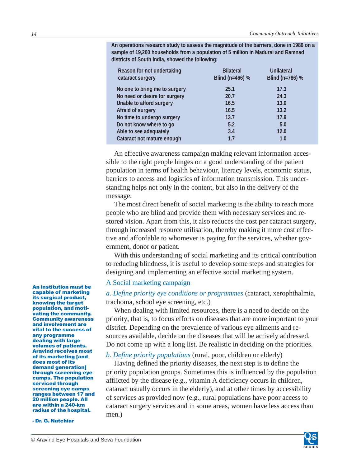**Reason for not undertaking and Bilateral Reason for not undertaking by Bilateral Reason for not undertaking cataract surgery Blind (n=466) % Blind (n=786) %** No one to bring me to surgery 25.1 25.1 25.1 20 **No need or desire for surgery 20.7 24.3** Unable to afford surgery **16.5** 13.0 **Afraid of surgery 16.5** 13.2 **No time to undergo surgery 13.7 17.9** 

**An operations research study to assess the magnitude of the barriers, done in 1986 on a sample of 19,260 households from a population of 5 million in Madurai and Ramnad districts of South India, showed the following:**

An effective awareness campaign making relevant information accessible to the right people hinges on a good understanding of the patient population in terms of health behaviour, literacy levels, economic status, barriers to access and logistics of information transmission. This understanding helps not only in the content, but also in the delivery of the message.

**Do not know where to go 5.2** 5.0 **Able to see adequately 3.4 12.0 Cataract not mature enough 1.7** 1.0

The most direct benefit of social marketing is the ability to reach more people who are blind and provide them with necessary services and restored vision. Apart from this, it also reduces the cost per cataract surgery, through increased resource utilisation, thereby making it more cost effective and affordable to whomever is paying for the services, whether government, donor or patient.

With this understanding of social marketing and its critical contribution to reducing blindness, it is useful to develop some steps and strategies for designing and implementing an effective social marketing system.

#### A Social marketing campaign

*a. Define priority eye conditions or programmes* (cataract, xerophthalmia, trachoma, school eye screening, etc.)

When dealing with limited resources, there is a need to decide on the priority, that is, to focus efforts on diseases that are more important to your district. Depending on the prevalence of various eye ailments and resources available, decide on the diseases that will be actively addressed. Do not come up with a long list. Be realistic in deciding on the priorities.

*b. Define priority populations* (rural, poor, children or elderly)

Having defined the priority diseases, the next step is to define the priority population groups. Sometimes this is influenced by the population afflicted by the disease (e.g., vitamin A deficiency occurs in children, cataract usually occurs in the elderly), and at other times by accessibility of services as provided now (e.g., rural populations have poor access to cataract surgery services and in some areas, women have less access than men.)

- Dr. G. Natchiar

An institution must be capable of marketing its surgical product, knowing the target population, and motivating the community. **Community awareness** and involvement are vital to the success of any programme dealing with large volumes of patients. **Aravind receives most** of its marketing [and does most of its demand generation] through screening eye camps. The population serviced through screening eye camps ranges between 17 and **20 million people. All** are within a 240-km radius of the hospital.

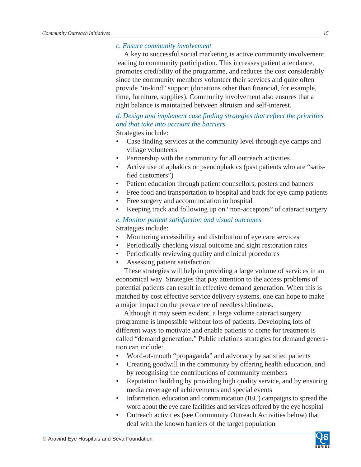### *c. Ensure community involvement*

A key to successful social marketing is active community involvement leading to community participation. This increases patient attendance, promotes credibility of the programme, and reduces the cost considerably since the community members volunteer their services and quite often provide "in-kind" support (donations other than financial, for example, time, furniture, supplies). Community involvement also ensures that a right balance is maintained between altruism and self-interest.

### *d. Design and implement case finding strategies that reflect the priorities and that take into account the barriers*

Strategies include:

- Case finding services at the community level through eye camps and village volunteers
- Partnership with the community for all outreach activities
- Active use of aphakics or pseudophakics (past patients who are "satisfied customers")
- Patient education through patient counsellors, posters and banners
- Free food and transportation to hospital and back for eye camp patients
- Free surgery and accommodation in hospital
- Keeping track and following up on "non-acceptors" of cataract surgery

### *e. Monitor patient satisfaction and visual outcomes* Strategies include:

- Monitoring accessibility and distribution of eye care services
- Periodically checking visual outcome and sight restoration rates
- Periodically reviewing quality and clinical procedures
- Assessing patient satisfaction

These strategies will help in providing a large volume of services in an economical way. Strategies that pay attention to the access problems of potential patients can result in effective demand generation. When this is matched by cost effective service delivery systems, one can hope to make a major impact on the prevalence of needless blindness.

Although it may seem evident, a large volume cataract surgery programme is impossible without lots of patients. Developing lots of different ways to motivate and enable patients to come for treatment is called "demand generation." Public relations strategies for demand generation can include:

- Word-of-mouth "propaganda" and advocacy by satisfied patients
- Creating goodwill in the community by offering health education, and by recognising the contributions of community members
- Reputation building by providing high quality service, and by ensuring media coverage of achievements and special events
- Information, education and communication (IEC) campaigns to spread the word about the eye care facilities and services offered by the eye hospital
- Outreach activities (see Community Outreach Activities below) that deal with the known barriers of the target population

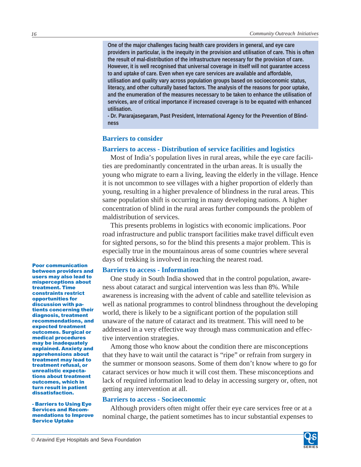**One of the major challenges facing health care providers in general, and eye care providers in particular, is the inequity in the provision and utilisation of care. This is often the result of mal-distribution of the infrastructure necessary for the provision of care. However, it is well recognised that universal coverage in itself will not guarantee access to and uptake of care. Even when eye care services are available and affordable, utilisation and quality vary across population groups based on socioeconomic status, literacy, and other culturally based factors. The analysis of the reasons for poor uptake, and the enumeration of the measures necessary to be taken to enhance the utilisation of services, are of critical importance if increased coverage is to be equated with enhanced utilisation.**

**- Dr. Pararajasegaram, Past President, International Agency for the Prevention of Blindness**

#### **Barriers to consider**

#### **Barriers to access - Distribution of service facilities and logistics**

Most of India's population lives in rural areas, while the eye care facilities are predominantly concentrated in the urban areas. It is usually the young who migrate to earn a living, leaving the elderly in the village. Hence it is not uncommon to see villages with a higher proportion of elderly than young, resulting in a higher prevalence of blindness in the rural areas. This same population shift is occurring in many developing nations. A higher concentration of blind in the rural areas further compounds the problem of maldistribution of services.

This presents problems in logistics with economic implications. Poor road infrastructure and public transport facilities make travel difficult even for sighted persons, so for the blind this presents a major problem. This is especially true in the mountainous areas of some countries where several days of trekking is involved in reaching the nearest road.

#### **Barriers to access - Information**

One study in South India showed that in the control population, awareness about cataract and surgical intervention was less than 8%. While awareness is increasing with the advent of cable and satellite television as well as national programmes to control blindness throughout the developing world, there is likely to be a significant portion of the population still unaware of the nature of cataract and its treatment. This will need to be addressed in a very effective way through mass communication and effective intervention strategies.

Among those who know about the condition there are misconceptions that they have to wait until the cataract is "ripe" or refrain from surgery in the summer or monsoon seasons. Some of them don't know where to go for cataract services or how much it will cost them. These misconceptions and lack of required information lead to delay in accessing surgery or, often, not getting any intervention at all.

#### **Barriers to access - Socioeconomic**

Although providers often might offer their eye care services free or at a nominal charge, the patient sometimes has to incur substantial expenses to

**Poor communication** between providers and users may also lead to misperceptions about treatment. Time constraints restrict opportunities for discussion with patients concerning their diagnosis, treatment recommendations, and expected treatment outcomes. Surgical or medical procedures may be inadequately explained. Anxiety and apprehensions about treatment may lead to treatment refusal, or unrealistic expectations about treatment outcomes, which in turn result in patient dissatisfaction.

- Barriers to Using Eye **Services and Recom**mendations to Improve **Service Uptake** 

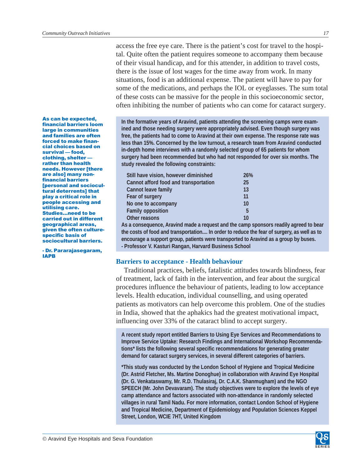access the free eye care. There is the patient's cost for travel to the hospital. Quite often the patient requires someone to accompany them because of their visual handicap, and for this attender, in addition to travel costs, there is the issue of lost wages for the time away from work. In many situations, food is an additional expense. The patient will have to pay for some of the medications, and perhaps the IOL or eyeglasses. The sum total of these costs can be massive for the people in this socioeconomic sector, often inhibiting the number of patients who can come for cataract surgery.

**In the formative years of Aravind, patients attending the screening camps were examined and those needing surgery were appropriately advised. Even though surgery was free, the patients had to come to Aravind at their own expense. The response rate was less than 15%. Concerned by the low turnout, a research team from Aravind conducted in-depth home interviews with a randomly selected group of 65 patients for whom surgery had been recommended but who had not responded for over six months. The study revealed the following constraints:**

| Still have vision, however diminished | 26% |
|---------------------------------------|-----|
| Cannot afford food and transportation | 25  |
| <b>Cannot leave family</b>            | 13  |
| Fear of surgery                       | 11  |
| No one to accompany                   | 10  |
| <b>Family opposition</b>              | 5   |
| <b>Other reasons</b>                  | 10  |

**As a consequence, Aravind made a request and the camp sponsors readily agreed to bear the costs of food and transportation.... In order to reduce the fear of surgery, as well as to encourage a support group, patients were transported to Aravind as a group by buses. - Professor V. Kasturi Rangan, Harvard Business School**

### **Barriers to acceptance - Health behaviour**

Traditional practices, beliefs, fatalistic attitudes towards blindness, fear of treatment, lack of faith in the intervention, and fear about the surgical procedures influence the behaviour of patients, leading to low acceptance levels. Health education, individual counselling, and using operated patients as motivators can help overcome this problem. One of the studies in India, showed that the aphakics had the greatest motivational impact, influencing over 33% of the cataract blind to accept surgery.

**A recent study report entitled Barriers to Using Eye Services and Recommendations to Improve Service Uptake: Research Findings and International Workshop Recommendations\* lists the following several specific recommendations for generating greater demand for cataract surgery services, in several different categories of barriers.**

**\*This study was conducted by the London School of Hygiene and Tropical Medicine (Dr. Astrid Fletcher, Ms. Martine Donoghue) in collaboration with Aravind Eye Hospital (Dr. G. Venkataswamy, Mr. R.D. Thulasiraj, Dr. C.A.K. Shanmugham) and the NGO SPEECH (Mr. John Devavaram). The study objectives were to explore the levels of eye camp attendance and factors associated with non-attendance in randomly selected villages in rural Tamil Nadu. For more information, contact London School of Hygiene and Tropical Medicine, Department of Epidemiology and Population Sciences Keppel Street, London, WCIE 7HT, United Kingdom**

As can be expected, financial barriers loom large in communities and families are often forced to make financial choices based on survival — food, clothing, shelter rather than health needs. However [there are also] many nonfinancial barriers [personal and sociocultural deterrents] that play a critical role in people accessing and utilising care. Studies...need to be carried out in different geographical areas, given the often culturespecific basis of sociocultural barriers.

- Dr. Pararajasegaram, **IAPB** 

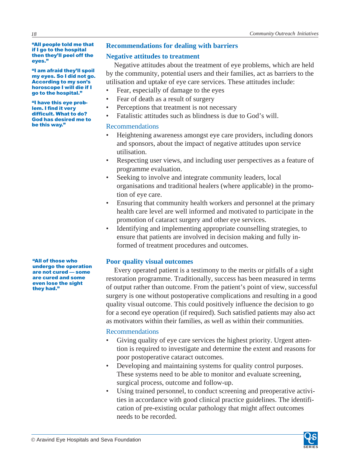**"All people told me that** if I go to the hospital then they'll peel off the eves."

"I am afraid they'll spoil my eyes. So I did not go. According to my son's horoscope I will die if I go to the hospital."

"I have this eye problem. I find it very difficult. What to do? God has desired me to be this way."

"All of those who undergo the operation are not cured — some are cured and some even lose the sight they had."

### **Recommendations for dealing with barriers**

### **Negative attitudes to treatment**

Negative attitudes about the treatment of eye problems, which are held by the community, potential users and their families, act as barriers to the utilisation and uptake of eye care services. These attitudes include:

- Fear, especially of damage to the eyes
- Fear of death as a result of surgery
- Perceptions that treatment is not necessary
- Fatalistic attitudes such as blindness is due to God's will.

### Recommendations

- Heightening awareness amongst eye care providers, including donors and sponsors, about the impact of negative attitudes upon service utilisation.
- Respecting user views, and including user perspectives as a feature of programme evaluation.
- Seeking to involve and integrate community leaders, local organisations and traditional healers (where applicable) in the promotion of eye care.
- Ensuring that community health workers and personnel at the primary health care level are well informed and motivated to participate in the promotion of cataract surgery and other eye services.
- Identifying and implementing appropriate counselling strategies, to ensure that patients are involved in decision making and fully informed of treatment procedures and outcomes.

### **Poor quality visual outcomes**

Every operated patient is a testimony to the merits or pitfalls of a sight restoration programme. Traditionally, success has been measured in terms of output rather than outcome. From the patient's point of view, successful surgery is one without postoperative complications and resulting in a good quality visual outcome. This could positively influence the decision to go for a second eye operation (if required). Such satisfied patients may also act as motivators within their families, as well as within their communities.

### Recommendations

- Giving quality of eye care services the highest priority. Urgent attention is required to investigate and determine the extent and reasons for poor postoperative cataract outcomes.
- Developing and maintaining systems for quality control purposes. These systems need to be able to monitor and evaluate screening, surgical process, outcome and follow-up.
- Using trained personnel, to conduct screening and preoperative activities in accordance with good clinical practice guidelines. The identification of pre-existing ocular pathology that might affect outcomes needs to be recorded.

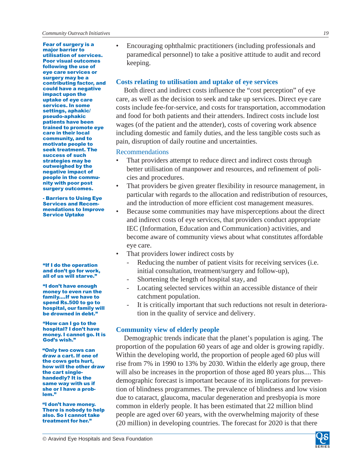**Fear of surgery is a** major barrier to utilisation of services. **Poor visual outcomes** following the use of eye care services or surgery may be a contributing factor, and could have a negative impact upon the uptake of eye care services. In some settings, aphakic/ pseudo-aphakic patients have been trained to promote eye care in their local community, and to motivate people to seek treatment. The success of such strategies may be outweighed by the negative impact of people in the community with poor post surgery outcomes.

- Barriers to Using Eye **Services and Recom**mendations to Improve **Service Uptake** 

"If I do the operation and don't go for work, all of us will starve."

"I don't have enough money to even run the family....If we have to spend Rs.500 to go to hospital, our family will be drowned in debt."

"How can I go to the hospital? I don't have money. I cannot go. It is God's wish."

"Only two cows can draw a cart. If one of the cows gets hurt. how will the other draw the cart singlehandedly? It is the same way with us if she or I have a problem."

"I don't have money. There is nobody to help also. So I cannot take treatment for her."

• Encouraging ophthalmic practitioners (including professionals and paramedical personnel) to take a positive attitude to audit and record keeping.

#### **Costs relating to utilisation and uptake of eye services**

Both direct and indirect costs influence the "cost perception" of eye care, as well as the decision to seek and take up services. Direct eye care costs include fee-for-service, and costs for transportation, accommodation and food for both patients and their attenders. Indirect costs include lost wages (of the patient and the attender), costs of covering work absence including domestic and family duties, and the less tangible costs such as pain, disruption of daily routine and uncertainties.

#### Recommendations

- That providers attempt to reduce direct and indirect costs through better utilisation of manpower and resources, and refinement of policies and procedures.
- That providers be given greater flexibility in resource management, in particular with regards to the allocation and redistribution of resources, and the introduction of more efficient cost management measures.
- Because some communities may have misperceptions about the direct and indirect costs of eye services, that providers conduct appropriate IEC (Information, Education and Communication) activities, and become aware of community views about what constitutes affordable eye care.
- That providers lower indirect costs by
	- Reducing the number of patient visits for receiving services (i.e. initial consultation, treatment/surgery and follow-up),
	- Shortening the length of hospital stay, and
	- Locating selected services within an accessible distance of their catchment population.
	- It is critically important that such reductions not result in deterioration in the quality of service and delivery.

### **Community view of elderly people**

Demographic trends indicate that the planet's population is aging. The proportion of the population 60 years of age and older is growing rapidly. Within the developing world, the proportion of people aged 60 plus will rise from 7% in 1990 to 13% by 2030. Within the elderly age group, there will also be increases in the proportion of those aged 80 years plus.... This demographic forecast is important because of its implications for prevention of blindness programmes. The prevalence of blindness and low vision due to cataract, glaucoma, macular degeneration and presbyopia is more common in elderly people. It has been estimated that 22 million blind people are aged over 60 years, with the overwhelming majority of these (20 million) in developing countries. The forecast for 2020 is that there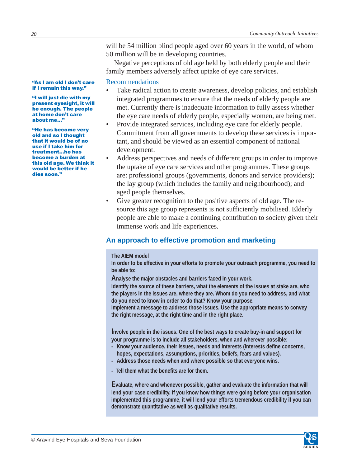will be 54 million blind people aged over 60 years in the world, of whom 50 million will be in developing countries.

Negative perceptions of old age held by both elderly people and their family members adversely affect uptake of eye care services.

### Recommendations

- Take radical action to create awareness, develop policies, and establish integrated programmes to ensure that the needs of elderly people are met. Currently there is inadequate information to fully assess whether the eye care needs of elderly people, especially women, are being met.
- Provide integrated services, including eye care for elderly people. Commitment from all governments to develop these services is important, and should be viewed as an essential component of national development.
- Address perspectives and needs of different groups in order to improve the uptake of eye care services and other programmes. These groups are: professional groups (governments, donors and service providers); the lay group (which includes the family and neighbourhood); and aged people themselves.
- Give greater recognition to the positive aspects of old age. The resource this age group represents is not sufficiently mobilised. Elderly people are able to make a continuing contribution to society given their immense work and life experiences.

### **An approach to effective promotion and marketing**

#### **The AIEM model**

**In order to be effective in your efforts to promote your outreach programme, you need to be able to:**

**Analyse the major obstacles and barriers faced in your work.**

**Identify the source of these barriers, what the elements of the issues at stake are, who the players in the issues are, where they are. Whom do you need to address, and what do you need to know in order to do that? Know your purpose.**

**Implement a message to address those issues. Use the appropriate means to convey the right message, at the right time and in the right place.**

**Involve people in the issues. One of the best ways to create buy-in and support for your programme is to include all stakeholders, when and wherever possible:**

- **Know your audience, their issues, needs and interests (interests define concerns, hopes, expectations, assumptions, priorities, beliefs, fears and values).**
- **Address those needs when and where possible so that everyone wins.**
- **Tell them what the benefits are for them.**

**Evaluate, where and whenever possible, gather and evaluate the information that will lend your case credibility. If you know how things were going before your organisation implemented this programme, it will lend your efforts tremendous credibility if you can demonstrate quantitative as well as qualitative results.**



"I will just die with my present eyesight, it will be enough. The people at home don't care about me..."

"He has become very old and so I thought that it would be of no use if I take him for treatment…he has become a burden at this old age. We think it would be better if he dies soon."

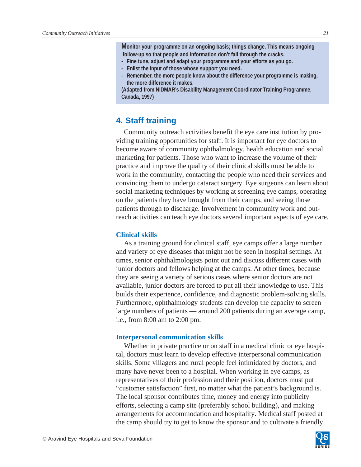<span id="page-21-0"></span>**Monitor your programme on an ongoing basis; things change. This means ongoing follow-up so that people and information don't fall through the cracks.**

- **Fine tune, adjust and adapt your programme and your efforts as you go.**
- **Enlist the input of those whose support you need.**
- **Remember, the more people know about the difference your programme is making, the more difference it makes.**

**(Adapted from NIDMAR's Disability Management Coordinator Training Programme, Canada, 1997)**

### **4. Staff training**

Community outreach activities benefit the eye care institution by providing training opportunities for staff. It is important for eye doctors to become aware of community ophthalmology, health education and social marketing for patients. Those who want to increase the volume of their practice and improve the quality of their clinical skills must be able to work in the community, contacting the people who need their services and convincing them to undergo cataract surgery. Eye surgeons can learn about social marketing techniques by working at screening eye camps, operating on the patients they have brought from their camps, and seeing those patients through to discharge. Involvement in community work and outreach activities can teach eye doctors several important aspects of eye care.

#### **Clinical skills**

As a training ground for clinical staff, eye camps offer a large number and variety of eye diseases that might not be seen in hospital settings. At times, senior ophthalmologists point out and discuss different cases with junior doctors and fellows helping at the camps. At other times, because they are seeing a variety of serious cases where senior doctors are not available, junior doctors are forced to put all their knowledge to use. This builds their experience, confidence, and diagnostic problem-solving skills. Furthermore, ophthalmology students can develop the capacity to screen large numbers of patients — around 200 patients during an average camp, i.e., from 8:00 am to 2:00 pm.

#### **Interpersonal communication skills**

Whether in private practice or on staff in a medical clinic or eye hospital, doctors must learn to develop effective interpersonal communication skills. Some villagers and rural people feel intimidated by doctors, and many have never been to a hospital. When working in eye camps, as representatives of their profession and their position, doctors must put "customer satisfaction" first, no matter what the patient's background is. The local sponsor contributes time, money and energy into publicity efforts, selecting a camp site (preferably school building), and making arrangements for accommodation and hospitality. Medical staff posted at the camp should try to get to know the sponsor and to cultivate a friendly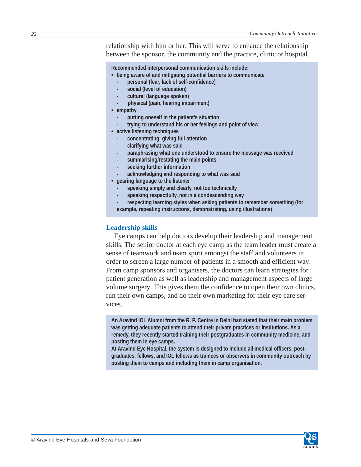relationship with him or her. This will serve to enhance the relationship between the sponsor, the community and the practice, clinic or hospital.

#### **Recommended interpersonal communication skills include:**

- **being aware of and mitigating potential barriers to communicate**
	- **personal (fear, lack of self-confidence)**
	- **social (level of education)**
	- **cultural (language spoken)**
	- **physical (pain, hearing impairment)**
- **empathy**
	- **putting oneself in the patient's situation**
	- **trying to understand his or her feelings and point of view**
- **active listening techniques**
	- **concentrating, giving full attention**
	- **clarifying what was said**
	- **paraphrasing what one understood to ensure the message was received**
	- **summarising/restating the main points**
	- **seeking further information**
	- **acknowledging and responding to what was said**
- **gearing language to the listener**
	- **speaking simply and clearly, not too technically**
	- **speaking respectfully, not in a condescending way**

**- respecting learning styles when asking patients to remember something (for example, repeating instructions, demonstrating, using illustrations)**

#### **Leadership skills**

Eye camps can help doctors develop their leadership and management skills. The senior doctor at each eye camp as the team leader must create a sense of teamwork and team spirit amongst the staff and volunteers in order to screen a large number of patients in a smooth and efficient way. From camp sponsors and organisers, the doctors can learn strategies for patient generation as well as leadership and management aspects of large volume surgery. This gives them the confidence to open their own clinics, run their own camps, and do their own marketing for their eye care services.

**An Aravind IOL Alumni from the R. P. Centre in Delhi had stated that their main problem was getting adequate patients to attend their private practices or institutions. As a remedy, they recently started training their postgraduates in community medicine, and posting them in eye camps.**

**At Aravind Eye Hospital, the system is designed to include all medical officers, postgraduates, fellows, and IOL fellows as trainees or observers in community outreach by posting them to camps and including them in camp organisation.**

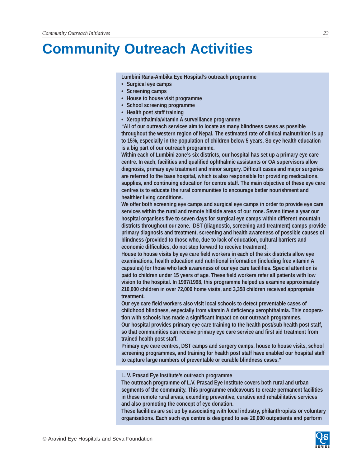# <span id="page-23-0"></span>**Community Outreach Activities**

**Lumbini Rana-Ambika Eye Hospital's outreach programme**

- **Surgical eye camps**
- **Screening camps**
- **House to house visit programme**
- **School screening programme**
- **Health post staff training**
- **Xerophthalmia/vitamin A surveillance programme**

**"All of our outreach services aim to locate as many blindness cases as possible throughout the western region of Nepal. The estimated rate of clinical malnutrition is up to 15%, especially in the population of children below 5 years. So eye health education is a big part of our outreach programme.**

**Within each of Lumbini zone's six districts, our hospital has set up a primary eye care centre. In each, facilities and qualified ophthalmic assistants or OA supervisors allow diagnosis, primary eye treatment and minor surgery. Difficult cases and major surgeries are referred to the base hospital, which is also responsible for providing medications, supplies, and continuing education for centre staff. The main objective of these eye care centres is to educate the rural communities to encourage better nourishment and healthier living conditions.**

**We offer both screening eye camps and surgical eye camps in order to provide eye care services within the rural and remote hillside areas of our zone. Seven times a year our hospital organises five to seven days for surgical eye camps within different mountain districts throughout our zone. DST (diagnostic, screening and treatment) camps provide primary diagnosis and treatment, screening and health awareness of possible causes of blindness (provided to those who, due to lack of education, cultural barriers and economic difficulties, do not step forward to receive treatment).**

**House to house visits by eye care field workers in each of the six districts allow eye examinations, health education and nutritional information (including free vitamin A capsules) for those who lack awareness of our eye care facilities. Special attention is paid to children under 15 years of age. These field workers refer all patients with low vision to the hospital. In 1997/1998, this programme helped us examine approximately 210,000 children in over 72,000 home visits, and 3,358 children received appropriate treatment.**

**Our eye care field workers also visit local schools to detect preventable cases of childhood blindness, especially from vitamin A deficiency xerophthalmia. This cooperation with schools has made a significant impact on our outreach programmes. Our hospital provides primary eye care training to the health post/sub health post staff, so that communities can receive primary eye care service and first aid treatment from trained health post staff.**

**Primary eye care centres, DST camps and surgery camps, house to house visits, school screening programmes, and training for health post staff have enabled our hospital staff to capture large numbers of preventable or curable blindness cases."**

#### **L. V. Prasad Eye Institute's outreach programme**

**The outreach programme of L.V. Prasad Eye Institute covers both rural and urban segments of the community. This programme endeavours to create permanent facilities in these remote rural areas, extending preventive, curative and rehabilitative services and also promoting the concept of eye donation.**

**These facilities are set up by associating with local industry, philanthropists or voluntary organisations. Each such eye centre is designed to see 20,000 outpatients and perform**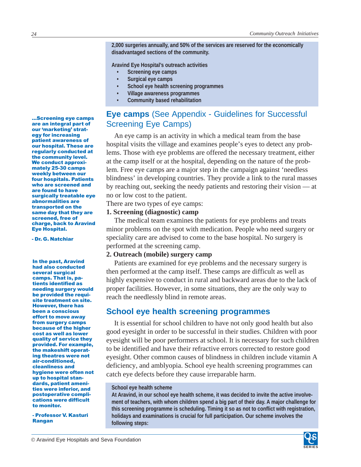<span id="page-24-0"></span>**2,000 surgeries annually, and 50% of the services are reserved for the economically disadvantaged sections of the community.**

**Aravind Eye Hospital's outreach activities**

- **Screening eye camps**
- **Surgical eye camps**
- **School eye health screening programmes**
- **Village awareness programmes**
- **Community based rehabilitation**

### **Eye camps** (See Appendix - Guidelines for Successful Screening Eye Camps)

An eye camp is an activity in which a medical team from the base hospital visits the village and examines people's eyes to detect any problems. Those with eye problems are offered the necessary treatment, either at the camp itself or at the hospital, depending on the nature of the problem. Free eye camps are a major step in the campaign against 'needless blindness' in developing countries. They provide a link to the rural masses by reaching out, seeking the needy patients and restoring their vision — at no or low cost to the patient.

There are two types of eye camps:

#### **1. Screening (diagnostic) camp**

The medical team examines the patients for eye problems and treats minor problems on the spot with medication. People who need surgery or speciality care are advised to come to the base hospital. No surgery is performed at the screening camp.

#### **2. Outreach (mobile) surgery camp**

Patients are examined for eye problems and the necessary surgery is then performed at the camp itself. These camps are difficult as well as highly expensive to conduct in rural and backward areas due to the lack of proper facilities. However, in some situations, they are the only way to reach the needlessly blind in remote areas.

### **School eye health screening programmes**

It is essential for school children to have not only good health but also good eyesight in order to be successful in their studies. Children with poor eyesight will be poor performers at school. It is necessary for such children to be identified and have their refractive errors corrected to restore good eyesight. Other common causes of blindness in children include vitamin A deficiency, and amblyopia. School eye health screening programmes can catch eye defects before they cause irreparable harm.

#### **School eye health scheme**

**At Aravind, in our school eye health scheme, it was decided to invite the active involvement of teachers, with whom children spend a big part of their day. A major challenge for this screening programme is scheduling. Timing it so as not to conflict with registration, holidays and examinations is crucial for full participation. Our scheme involves the following steps:**

...Screening eye camps are an integral part of our 'marketing' strategy for increasing patient awareness of our hospital. These are regularly conducted at the community level. We conduct approximately 25-30 camps weekly between our four hospitals. Patients who are screened and are found to have surgically treatable eye abnormalities are transported on the same day that they are screened, free of charge, back to Aravind **Eye Hospital.** 

- Dr. G. Natchiar

In the past, Aravind had also conducted several surgical camps. That is, patients identified as needing surgery would be provided the requisite treatment on site. **However, there has** been a conscious effort to move away from surgery camps because of the higher cost as well as lower quality of service they provided. For example, the makeshift operating theatres were not air-conditioned, cleanliness and hygiene were often not up to hospital standards, patient amenities were inferior, and postoperative complications were difficult to monitor.

- Professor V. Kasturi Rangan

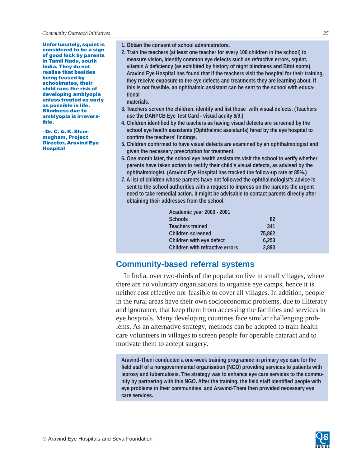<span id="page-25-0"></span>**Unfortunately, squint is** considered to be a sign of good luck by parents in Tamil Nadu, south India. They do not realise that besides being teased by schoolmates, their child runs the risk of developing amblyopia unless treated as early as possible in life. **Blindness due to** amblyopia is irreversible.

- Dr. C. A. K. Shanmugham, Project **Director, Aravind Eye Hospital** 

- **1. Obtain the consent of school administrators.**
- **2. Train the teachers (at least one teacher for every 100 children in the school) to measure vision, identify common eye defects such as refractive errors, squint, vitamin A deficiency (as exhibited by history of night blindness and Bitot spots). Aravind Eye Hospital has found that if the teachers visit the hospital for their training, they receive exposure to the eye defects and treatments they are learning about. If this is not feasible, an ophthalmic assistant can be sent to the school with educational**

#### **materials.**

- **3. Teachers screen the children, identify and list those with visual defects. (Teachers use the DANPCB Eye Test Card - visual acuity 6/9.)**
- **4. Children identified by the teachers as having visual defects are screened by the school eye health assistants (Ophthalmic assistants) hired by the eye hospital to confirm the teachers' findings.**
- **5. Children confirmed to have visual defects are examined by an ophthalmologist and given the necessary prescription for treatment.**
- **6. One month later, the school eye health assistants visit the school to verify whether parents have taken action to rectify their child's visual defects, as advised by the ophthalmologist. (Aravind Eye Hospital has tracked the follow-up rate at 85%.)**
- **7. A list of children whose parents have not followed the ophthalmologist's advice is sent to the school authorities with a request to impress on the parents the urgent need to take remedial action. It might be advisable to contact parents directly after obtaining their addresses from the school.**

| Academic year 2000 - 2001              |        |
|----------------------------------------|--------|
| <b>Schools</b>                         | 82     |
| <b>Teachers trained</b>                | 341    |
| <b>Children screened</b>               | 75,862 |
| Children with eye defect               | 6,253  |
| <b>Children with refractive errors</b> | 2.893  |

### **Community-based referral systems**

In India, over two-thirds of the population live in small villages, where there are no voluntary organisations to organise eye camps, hence it is neither cost effective nor feasible to cover all villages. In addition, people in the rural areas have their own socioeconomic problems, due to illiteracy and ignorance, that keep them from accessing the facilities and services in eye hospitals. Many developing countries face similar challenging problems. As an alternative strategy, methods can be adopted to train health care volunteers in villages to screen people for operable cataract and to motivate them to accept surgery.

**Aravind-Theni conducted a one-week training programme in primary eye care for the field staff of a nongovernmental organisation (NGO) providing services to patients with leprosy and tuberculosis. The strategy was to enhance eye care services to the community by partnering with this NGO. After the training, the field staff identified people with eye problems in their communities, and Aravind-Theni then provided necessary eye care services.**

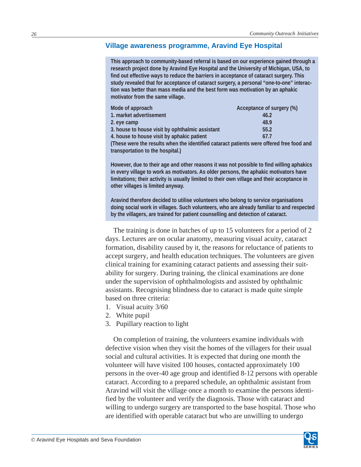### **Village awareness programme, Aravind Eye Hospital**

**This approach to community-based referral is based on our experience gained through a research project done by Aravind Eye Hospital and the University of Michigan, USA, to find out effective ways to reduce the barriers in acceptance of cataract surgery. This study revealed that for acceptance of cataract surgery, a personal "one-to-one" interaction was better than mass media and the best form was motivation by an aphakic motivator from the same village.**

| Mode of approach                                                                         | Acceptance of surgery (%) |
|------------------------------------------------------------------------------------------|---------------------------|
| 1. market advertisement                                                                  | 46.2                      |
| 2. eye camp                                                                              | 48.9                      |
| 3. house to house visit by ophthalmic assistant                                          | 55.2                      |
| 4. house to house visit by aphakic patient                                               | 67.7                      |
| (These were the results when the identified cataract patients were offered free food and |                           |
| transportation to the hospital.)                                                         |                           |

**However, due to their age and other reasons it was not possible to find willing aphakics in every village to work as motivators. As older persons, the aphakic motivators have limitations; their activity is usually limited to their own village and their acceptance in other villages is limited anyway.**

**Aravind therefore decided to utilise volunteers who belong to service organisations doing social work in villages. Such volunteers, who are already familiar to and respected by the villagers, are trained for patient counselling and detection of cataract.**

The training is done in batches of up to 15 volunteers for a period of 2 days. Lectures are on ocular anatomy, measuring visual acuity, cataract formation, disability caused by it, the reasons for reluctance of patients to accept surgery, and health education techniques. The volunteers are given clinical training for examining cataract patients and assessing their suitability for surgery. During training, the clinical examinations are done under the supervision of ophthalmologists and assisted by ophthalmic assistants. Recognising blindness due to cataract is made quite simple based on three criteria:

- 1. Visual acuity 3/60
- 2. White pupil
- 3. Pupillary reaction to light

On completion of training, the volunteers examine individuals with defective vision when they visit the homes of the villagers for their usual social and cultural activities. It is expected that during one month the volunteer will have visited 100 houses, contacted approximately 100 persons in the over-40 age group and identified 8-12 persons with operable cataract. According to a prepared schedule, an ophthalmic assistant from Aravind will visit the village once a month to examine the persons identified by the volunteer and verify the diagnosis. Those with cataract and willing to undergo surgery are transported to the base hospital. Those who are identified with operable cataract but who are unwilling to undergo

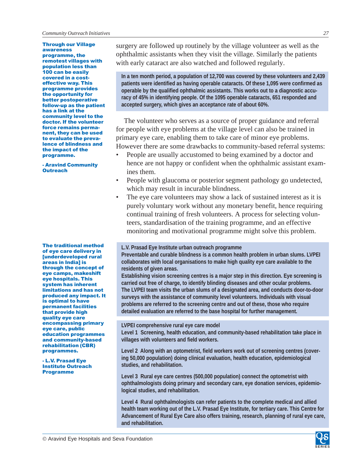#### *Community Outreach Initiatives 27*

**Through our Village** awareness programme, the remotest villages with population less than 100 can be easily covered in a costeffective way. This programme provides the opportunity for better postoperative follow-up as the patient has a link at the community level to the doctor. If the volunteer force remains permanent, they can be used to evaluate the prevalence of blindness and the impact of the programme.

- Aravind Community **Outreach** 

The traditional method of eye care delivery in [underdeveloped rural areas in India] is through the concept of eye camps, makeshift eye hospitals. This system has inherent limitations and has not produced any impact. It is optimal to have permanent facilities that provide high quality eye care encompassing primary eye care, public education programmes and community-based rehabilitation (CBR) programmes.

- L.V. Prasad Eye **Institute Outreach** Programme

surgery are followed up routinely by the village volunteer as well as the ophthalmic assistants when they visit the village. Similarly the patients with early cataract are also watched and followed regularly.

**In a ten month period, a population of 12,700 was covered by these volunteers and 2,439 patients were identified as having operable cataracts. Of these 1,095 were confirmed as operable by the qualified ophthalmic assistants. This works out to a diagnostic accuracy of 45% in identifying people. Of the 1095 operable cataracts, 651 responded and accepted surgery, which gives an acceptance rate of about 60%.**

The volunteer who serves as a source of proper guidance and referral for people with eye problems at the village level can also be trained in primary eye care, enabling them to take care of minor eye problems. However there are some drawbacks to community-based referral systems:

- People are usually accustomed to being examined by a doctor and hence are not happy or confident when the ophthalmic assistant examines them.
- People with glaucoma or posterior segment pathology go undetected, which may result in incurable blindness.
- The eye care volunteers may show a lack of sustained interest as it is purely voluntary work without any monetary benefit, hence requiring continual training of fresh volunteers. A process for selecting volunteers, standardisation of the training programme, and an effective monitoring and motivational programme might solve this problem.

#### **L.V. Prasad Eye Institute urban outreach programme**

**Preventable and curable blindness is a common health problem in urban slums. LVPEI collaborates with local organisations to make high quality eye care available to the residents of given areas.**

**Establishing vision screening centres is a major step in this direction. Eye screening is carried out free of charge, to identify blinding diseases and other ocular problems. The LVPEI team visits the urban slums of a designated area, and conducts door-to-door surveys with the assistance of community level volunteers. Individuals with visual problems are referred to the screening centre and out of these, those who require detailed evaluation are referred to the base hospital for further management.**

**LVPEI comprehensive rural eye care model**

**Level 1 Screening, health education, and community-based rehabilitation take place in villages with volunteers and field workers.**

**Level 2 Along with an optometrist, field workers work out of screening centres (covering 50,000 population) doing clinical evaluation, health education, epidemiological studies, and rehabilitation.**

**Level 3 Rural eye care centres (500,000 population) connect the optometrist with ophthalmologists doing primary and secondary care, eye donation services, epidemiological studies, and rehabilitation.**

**Level 4 Rural ophthalmologists can refer patients to the complete medical and allied health team working out of the L.V. Prasad Eye Institute, for tertiary care. This Centre for Advancement of Rural Eye Care also offers training, research, planning of rural eye care, and rehabilitation.**

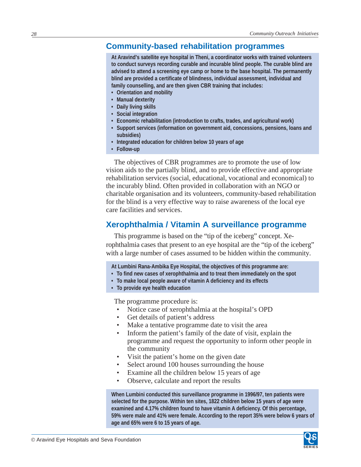### <span id="page-28-0"></span>**Community-based rehabilitation programmes**

**At Aravind's satellite eye hospital in Theni, a coordinator works with trained volunteers to conduct surveys recording curable and incurable blind people. The curable blind are advised to attend a screening eye camp or home to the base hospital. The permanently blind are provided a certificate of blindness, individual assessment, individual and family counselling, and are then given CBR training that includes:**

- **Orientation and mobility**
- **Manual dexterity**
- **Daily living skills**
- **Social integration**
- **Economic rehabilitation (introduction to crafts, trades, and agricultural work)**
- **Support services (information on government aid, concessions, pensions, loans and subsidies)**
- **Integrated education for children below 10 years of age**
- **Follow-up**

The objectives of CBR programmes are to promote the use of low vision aids to the partially blind, and to provide effective and appropriate rehabilitation services (social, educational, vocational and economical) to the incurably blind. Often provided in collaboration with an NGO or charitable organisation and its volunteers, community-based rehabilitation for the blind is a very effective way to raise awareness of the local eye care facilities and services.

### **Xerophthalmia / Vitamin A surveillance programme**

This programme is based on the "tip of the iceberg" concept. Xerophthalmia cases that present to an eye hospital are the "tip of the iceberg" with a large number of cases assumed to be hidden within the community.

**At Lumbini Rana-Ambika Eye Hospital, the objectives of this programme are:**

- **To find new cases of xerophthalmia and to treat them immediately on the spot**
- **To make local people aware of vitamin A deficiency and its effects**
- **To provide eye health education**

The programme procedure is:

- Notice case of xerophthalmia at the hospital's OPD
- Get details of patient's address
- Make a tentative programme date to visit the area
- Inform the patient's family of the date of visit, explain the programme and request the opportunity to inform other people in the community
- Visit the patient's home on the given date
- Select around 100 houses surrounding the house
- Examine all the children below 15 years of age
- Observe, calculate and report the results

**When Lumbini conducted this surveillance programme in 1996/97, ten patients were selected for the purpose. Within ten sites, 1822 children below 15 years of age were examined and 4.17% children found to have vitamin A deficiency. Of this percentage, 59% were male and 41% were female. According to the report 35% were below 6 years of age and 65% were 6 to 15 years of age.**

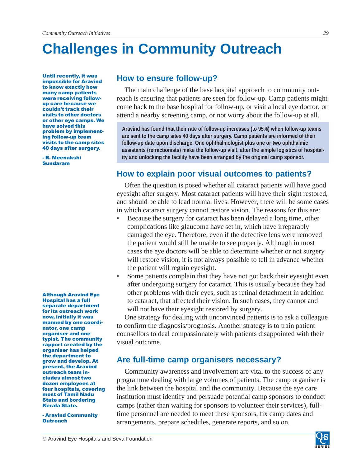# <span id="page-29-0"></span>**Challenges in Community Outreach**

Until recently, it was **impossible for Aravind** to know exactly how many camp patients were receiving followup care because we couldn't track their visits to other doctors or other eye camps. We have solved this problem by implementing follow-up team visits to the camp sites 40 days after surgery.

<u>- R. Meenakshi</u> **Sundaram** 

**Hospital has a full** separate department for its outreach wor<mark>k</mark> now, initially it was manned by one coordinator, one camp organiser and one typist. The community rapport created by the organiser has helped the department to grow and develop. At present, the Aravind outreach team includes almost two dozen employees at four hospitals, covering most of Tamil Nadu **State and bordering Kerala State.** 

**Although Aravind Eye** 

- Aravind Community **Outreach** 

### **How to ensure follow-up?**

The main challenge of the base hospital approach to community outreach is ensuring that patients are seen for follow-up. Camp patients might come back to the base hospital for follow-up, or visit a local eye doctor, or attend a nearby screening camp, or not worry about the follow-up at all.

**Aravind has found that their rate of follow-up increases (to 95%) when follow-up teams are sent to the camp sites 40 days after surgery. Camp patients are informed of their follow-up date upon discharge. One ophthalmologist plus one or two ophthalmic assistants (refractionists) make the follow-up visit, after the simple logistics of hospitality and unlocking the facility have been arranged by the original camp sponsor.**

### **How to explain poor visual outcomes to patients?**

Often the question is posed whether all cataract patients will have good eyesight after surgery. Most cataract patients will have their sight restored, and should be able to lead normal lives. However, there will be some cases in which cataract surgery cannot restore vision. The reasons for this are:

- Because the surgery for cataract has been delayed a long time, other complications like glaucoma have set in, which have irreparably damaged the eye. Therefore, even if the defective lens were removed the patient would still be unable to see properly. Although in most cases the eye doctors will be able to determine whether or not surgery will restore vision, it is not always possible to tell in advance whether the patient will regain eyesight.
- Some patients complain that they have not got back their eyesight even after undergoing surgery for cataract. This is usually because they had other problems with their eyes, such as retinal detachment in addition to cataract, that affected their vision. In such cases, they cannot and will not have their eyesight restored by surgery.

One strategy for dealing with unconvinced patients is to ask a colleague to confirm the diagnosis/prognosis. Another strategy is to train patient counsellors to deal compassionately with patients disappointed with their visual outcome.

### **Are full-time camp organisers necessary?**

Community awareness and involvement are vital to the success of any programme dealing with large volumes of patients. The camp organiser is the link between the hospital and the community. Because the eye care institution must identify and persuade potential camp sponsors to conduct camps (rather than waiting for sponsors to volunteer their services), fulltime personnel are needed to meet these sponsors, fix camp dates and arrangements, prepare schedules, generate reports, and so on.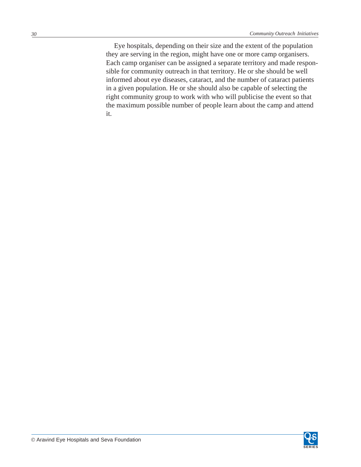Eye hospitals, depending on their size and the extent of the population they are serving in the region, might have one or more camp organisers. Each camp organiser can be assigned a separate territory and made responsible for community outreach in that territory. He or she should be well informed about eye diseases, cataract, and the number of cataract patients in a given population. He or she should also be capable of selecting the right community group to work with who will publicise the event so that the maximum possible number of people learn about the camp and attend it.

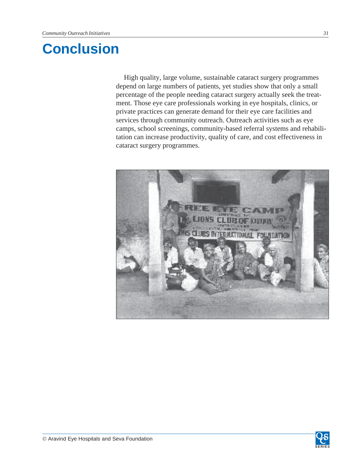# <span id="page-31-0"></span>**Conclusion**

High quality, large volume, sustainable cataract surgery programmes depend on large numbers of patients, yet studies show that only a small percentage of the people needing cataract surgery actually seek the treatment. Those eye care professionals working in eye hospitals, clinics, or private practices can generate demand for their eye care facilities and services through community outreach. Outreach activities such as eye camps, school screenings, community-based referral systems and rehabilitation can increase productivity, quality of care, and cost effectiveness in cataract surgery programmes.



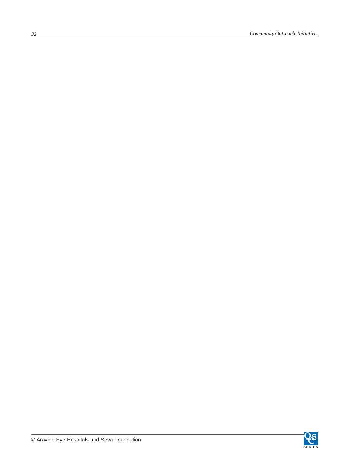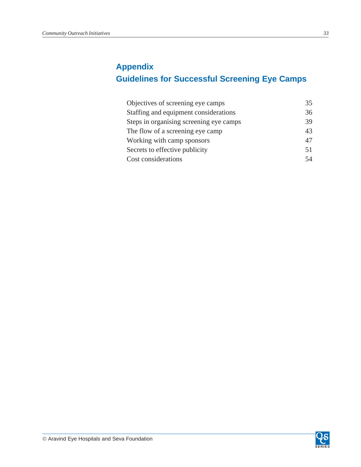### <span id="page-33-0"></span>**Appendix**

### **Guidelines for Successful Screening Eye Camps**

| Objectives of screening eye camps       | 35 |
|-----------------------------------------|----|
| Staffing and equipment considerations   | 36 |
| Steps in organising screening eye camps | 39 |
| The flow of a screening eye camp        | 43 |
| Working with camp sponsors              | 47 |
| Secrets to effective publicity          | 51 |
| Cost considerations                     | 54 |

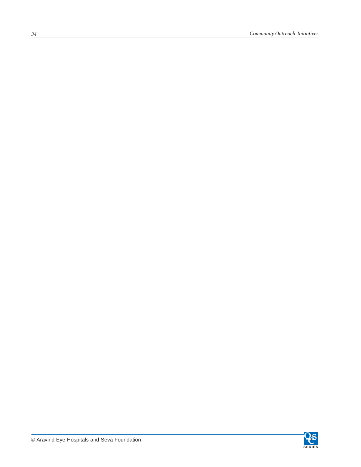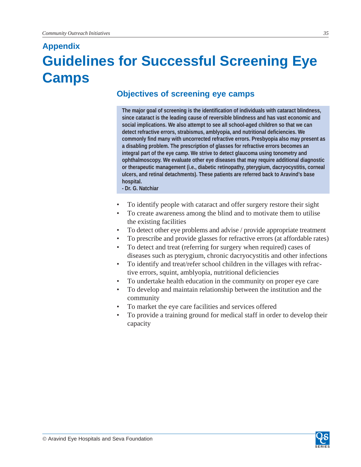# **Appendix Guidelines for Successful Screening Eye Camps**

### **Objectives of screening eye camps**

**The major goal of screening is the identification of individuals with cataract blindness, since cataract is the leading cause of reversible blindness and has vast economic and social implications. We also attempt to see all school-aged children so that we can detect refractive errors, strabismus, amblyopia, and nutritional deficiencies. We commonly find many with uncorrected refractive errors. Presbyopia also may present as a disabling problem. The prescription of glasses for refractive errors becomes an integral part of the eye camp. We strive to detect glaucoma using tonometry and ophthalmoscopy. We evaluate other eye diseases that may require additional diagnostic or therapeutic management (i.e., diabetic retinopathy, pterygium, dacryocystitis, corneal ulcers, and retinal detachments). These patients are referred back to Aravind's base hospital.**

**- Dr. G. Natchiar**

- To identify people with cataract and offer surgery restore their sight
- To create awareness among the blind and to motivate them to utilise the existing facilities
- To detect other eye problems and advise / provide appropriate treatment
- To prescribe and provide glasses for refractive errors (at affordable rates)
- To detect and treat (referring for surgery when required) cases of diseases such as pterygium, chronic dacryocystitis and other infections
- To identify and treat/refer school children in the villages with refractive errors, squint, amblyopia, nutritional deficiencies
- To undertake health education in the community on proper eye care
- To develop and maintain relationship between the institution and the community
- To market the eye care facilities and services offered
- To provide a training ground for medical staff in order to develop their capacity

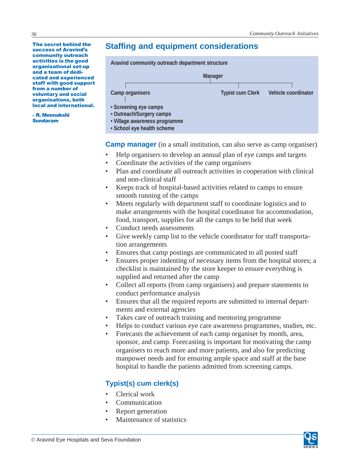The secret behind the success of Aravind's community outreach activities is the good organisational set-up and a team of dedicated and experienced staff with good support from a number of voluntary and social organisations, both local and international.

- R. Meenakshi **Sundaram** 

### **Staffing and equipment considerations**

**Aravind community outreach department structure**

|                               | <b>Manager</b>          |                     |
|-------------------------------|-------------------------|---------------------|
| Camp organisers               | <b>Typist cum Clerk</b> | Vehicle coordinator |
| • Screening eye camps         |                         |                     |
| • Outreach/Surgery camps      |                         |                     |
| · Village awareness programme |                         |                     |
| · School eye health scheme    |                         |                     |

**Camp manager** (in a small institution, can also serve as camp organiser)

- Help organisers to develop an annual plan of eye camps and targets
- Coordinate the activities of the camp organisers
- Plan and coordinate all outreach activities in cooperation with clinical and non-clinical staff
- Keeps track of hospital-based activities related to camps to ensure smooth running of the camps
- Meets regularly with department staff to coordinate logistics and to make arrangements with the hospital coordinator for accommodation, food, transport, supplies for all the camps to be held that week
- Conduct needs assessments
- Give weekly camp list to the vehicle coordinator for staff transportation arrangements
- Ensures that camp postings are communicated to all posted staff
- Ensures proper indenting of necessary items from the hospital stores; a checklist is maintained by the store keeper to ensure everything is supplied and returned after the camp
- Collect all reports (from camp organisers) and prepare statements to conduct performance analysis
- Ensures that all the required reports are submitted to internal departments and external agencies
- Takes care of outreach training and mentoring programme
- Helps to conduct various eye care awareness programmes, studies, etc.
- Forecasts the achievement of each camp organiser by month, area, sponsor, and camp. Forecasting is important for motivating the camp organisers to reach more and more patients, and also for predicting manpower needs and for ensuring ample space and staff at the base hospital to handle the patients admitted from screening camps.

### **Typist(s) cum clerk(s)**

- Clerical work
- **Communication**
- Report generation
- Maintenance of statistics

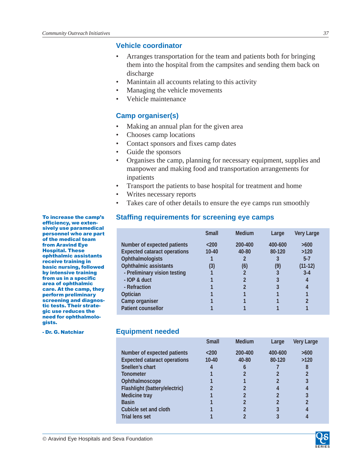#### **Vehicle coordinator**

- Arranges transportation for the team and patients both for bringing them into the hospital from the campsites and sending them back on discharge
- Manintain all accounts relating to this activity
- Managing the vehicle movements
- Vehicle maintenance

### **Camp organiser(s)**

- Making an annual plan for the given area
- Chooses camp locations
- Contact sponsors and fixes camp dates
- Guide the sponsors
- Organises the camp, planning for necessary equipment, supplies and manpower and making food and transportation arrangements for inpatients
- Transport the patients to base hospital for treatment and home
- Writes necessary reports
- Takes care of other details to ensure the eye camps run smoothly

### **Staffing requirements for screening eye camps**

|                                     | <b>Small</b> | <b>Medium</b> | Large   | <b>Very Large</b> |
|-------------------------------------|--------------|---------------|---------|-------------------|
| <b>Number of expected patients</b>  | $200$        | 200-400       | 400-600 | >600              |
| <b>Expected cataract operations</b> | $10 - 40$    | 40-80         | 80-120  | >120              |
| <b>Ophthalmologists</b>             |              |               |         | $5 - 7$           |
| <b>Ophthalmic assistants</b>        | (3)          | (6)           | (9)     | $(11-12)$         |
| - Preliminary vision testing        |              |               |         | $3 - 4$           |
| $-IOP$ & duct                       |              |               |         |                   |
| - Refraction                        |              |               |         |                   |
| <b>Optician</b>                     |              |               |         |                   |
| Camp organiser                      |              |               |         |                   |
| <b>Patient counsellor</b>           |              |               |         |                   |
|                                     |              |               |         |                   |

- Dr. G. Natchiar

aists.

To increase the camp's efficiency, we extensively use paramedical personnel who are part of the medical team from Aravind Eye **Hospital. These** ophthalmic assistants receive training in basic nursing, followed by intensive training from us in a specific area of ophthalmic care. At the camp, they perform preliminary screening and diagnostic tests. Their strategic use reduces the need for ophthalmolo-

#### **Equipment needed**

|                                      | <b>Small</b> | <b>Medium</b> | Large   | <b>Very Large</b> |
|--------------------------------------|--------------|---------------|---------|-------------------|
| Number of expected patients          | $200$        | 200-400       | 400-600 | >600              |
| <b>Expected cataract operations</b>  | $10-40$      | 40-80         | 80-120  | >120              |
| Snellen's chart                      |              |               |         |                   |
| <b>Tonometer</b>                     |              |               |         |                   |
| Ophthalmoscope                       |              |               |         |                   |
| <b>Flashlight (battery/electric)</b> |              |               |         |                   |
| <b>Medicine tray</b>                 |              |               |         |                   |
| <b>Basin</b>                         |              |               |         |                   |
| Cubicle set and cloth                |              |               |         |                   |
| <b>Trial lens set</b>                |              |               |         |                   |

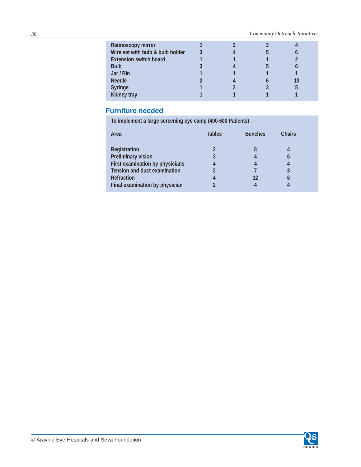| <b>Retinoscopy mirror</b>        |  |    |  |
|----------------------------------|--|----|--|
| Wire set with bulb & bulb holder |  |    |  |
| <b>Extension switch board</b>    |  |    |  |
| <b>Bulb</b>                      |  |    |  |
| Jar / Bin                        |  |    |  |
| <b>Needle</b>                    |  | 10 |  |
| <b>Syringe</b>                   |  | h  |  |
| <b>Kidney tray</b>               |  |    |  |

### **Furniture needed**

| To implement a large screening eye camp (400-600 Patients) |               |                |               |
|------------------------------------------------------------|---------------|----------------|---------------|
| Area                                                       | <b>Tables</b> | <b>Benches</b> | <b>Chairs</b> |
| <b>Registration</b>                                        |               |                | 4             |
| <b>Preliminary vision</b>                                  |               |                | 6             |
| First examination by physicians                            |               |                | 4             |
| <b>Tension and duct examination</b>                        |               |                | 3             |
| <b>Refraction</b>                                          |               | 12             | 6             |
| Final examination by physician                             |               |                |               |



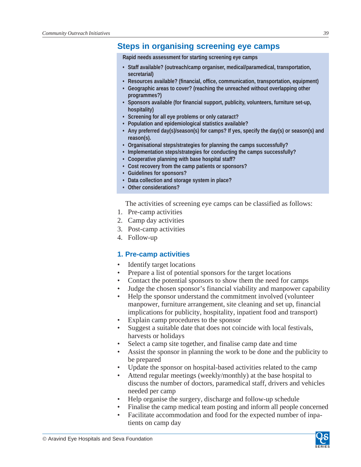### **Steps in organising screening eye camps**

**Rapid needs assessment for starting screening eye camps**

- **Staff available? (outreach/camp organiser, medical/paramedical, transportation, secretarial)**
- **Resources available? (financial, office, communication, transportation, equipment)**
- **Geographic areas to cover? (reaching the unreached without overlapping other programmes?)**
- **Sponsors available (for financial support, publicity, volunteers, furniture set-up, hospitality)**
- **Screening for all eye problems or only cataract?**
- **Population and epidemiological statistics available?**
- **Any preferred day(s)/season(s) for camps? If yes, specify the day(s) or season(s) and reason(s).**
- **Organisational steps/strategies for planning the camps successfully?**
- **Implementation steps/strategies for conducting the camps successfully?**
- **Cooperative planning with base hospital staff?**
- **Cost recovery from the camp patients or sponsors?**
- **Guidelines for sponsors?**
- **Data collection and storage system in place?**
- **Other considerations?**

The activities of screening eye camps can be classified as follows:

- 1. Pre-camp activities
- 2. Camp day activities
- 3. Post-camp activities
- 4. Follow-up

#### **1. Pre-camp activities**

- Identify target locations
- Prepare a list of potential sponsors for the target locations
- Contact the potential sponsors to show them the need for camps
- Judge the chosen sponsor's financial viability and manpower capability
- Help the sponsor understand the commitment involved (volunteer manpower, furniture arrangement, site cleaning and set up, financial implications for publicity, hospitality, inpatient food and transport)
- Explain camp procedures to the sponsor
- Suggest a suitable date that does not coincide with local festivals, harvests or holidays
- Select a camp site together, and finalise camp date and time
- Assist the sponsor in planning the work to be done and the publicity to be prepared
- Update the sponsor on hospital-based activities related to the camp
- Attend regular meetings (weekly/monthly) at the base hospital to discuss the number of doctors, paramedical staff, drivers and vehicles needed per camp
- Help organise the surgery, discharge and follow-up schedule
- Finalise the camp medical team posting and inform all people concerned
- Facilitate accommodation and food for the expected number of inpatients on camp day

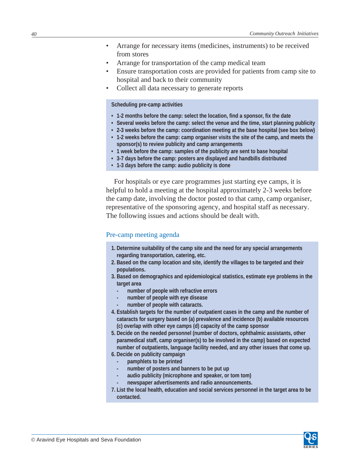- Arrange for necessary items (medicines, instruments) to be received from stores
- Arrange for transportation of the camp medical team
- Ensure transportation costs are provided for patients from camp site to hospital and back to their community
- Collect all data necessary to generate reports

#### **Scheduling pre-camp activities**

- **1-2 months before the camp: select the location, find a sponsor, fix the date**
- **Several weeks before the camp: select the venue and the time, start planning publicity**
- **2-3 weeks before the camp: coordination meeting at the base hospital (see box below)**
- **1-2 weeks before the camp: camp organiser visits the site of the camp, and meets the sponsor(s) to review publicity and camp arrangements**
- **1 week before the camp: samples of the publicity are sent to base hospital**
- **3-7 days before the camp: posters are displayed and handbills distributed**
- **1-3 days before the camp: audio publicity is done**

For hospitals or eye care programmes just starting eye camps, it is helpful to hold a meeting at the hospital approximately 2-3 weeks before the camp date, involving the doctor posted to that camp, camp organiser, representative of the sponsoring agency, and hospital staff as necessary. The following issues and actions should be dealt with.

#### Pre-camp meeting agenda

- **1. Determine suitability of the camp site and the need for any special arrangements regarding transportation, catering, etc.**
- **2. Based on the camp location and site, identify the villages to be targeted and their populations.**
- **3. Based on demographics and epidemiological statistics, estimate eye problems in the target area**
	- **number of people with refractive errors**
	- **number of people with eye disease**
	- **number of people with cataracts.**
- **4. Establish targets for the number of outpatient cases in the camp and the number of cataracts for surgery based on (a) prevalence and incidence (b) available resources (c) overlap with other eye camps (d) capacity of the camp sponsor**
- **5. Decide on the needed personnel (number of doctors, ophthalmic assistants, other paramedical staff, camp organiser(s) to be involved in the camp) based on expected number of outpatients, language facility needed, and any other issues that come up.**
- **6. Decide on publicity campaign**
	- **pamphlets to be printed**
	- **number of posters and banners to be put up**
	- **audio publicity (microphone and speaker, or tom tom)**
	- **newspaper advertisements and radio announcements.**
- **7. List the local health, education and social services personnel in the target area to be contacted.**

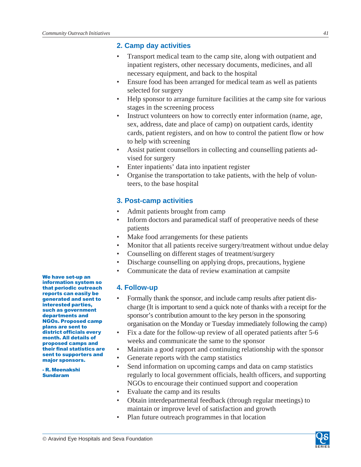### **2. Camp day activities**

- Transport medical team to the camp site, along with outpatient and inpatient registers, other necessary documents, medicines, and all necessary equipment, and back to the hospital
- Ensure food has been arranged for medical team as well as patients selected for surgery
- Help sponsor to arrange furniture facilities at the camp site for various stages in the screening process
- Instruct volunteers on how to correctly enter information (name, age, sex, address, date and place of camp) on outpatient cards, identity cards, patient registers, and on how to control the patient flow or how to help with screening
- Assist patient counsellors in collecting and counselling patients advised for surgery
- Enter inpatients' data into inpatient register
- Organise the transportation to take patients, with the help of volunteers, to the base hospital

### **3. Post-camp activities**

- Admit patients brought from camp
- Inform doctors and paramedical staff of preoperative needs of these patients
- Make food arrangements for these patients
- Monitor that all patients receive surgery/treatment without undue delay
- Counselling on different stages of treatment/surgery
- Discharge counselling on applying drops, precautions, hygiene
- Communicate the data of review examination at campsite

### **4. Follow-up**

- Formally thank the sponsor, and include camp results after patient discharge (It is important to send a quick note of thanks with a receipt for the sponsor's contribution amount to the key person in the sponsoring organisation on the Monday or Tuesday immediately following the camp)
- Fix a date for the follow-up review of all operated patients after 5-6 weeks and communicate the same to the sponsor
- Maintain a good rapport and continuing relationship with the sponsor
- Generate reports with the camp statistics
- Send information on upcoming camps and data on camp statistics regularly to local government officials, health officers, and supporting NGOs to encourage their continued support and cooperation
- Evaluate the camp and its results
- Obtain interdepartmental feedback (through regular meetings) to maintain or improve level of satisfaction and growth
- Plan future outreach programmes in that location

We have set-up an information system so that periodic outreach reports can easily be generated and sent to interested parties, such as government departments and **NGOs. Proposed camp** plans are sent to district officials every month. All details of proposed camps and their final statistics are sent to supporters and major sponsors.

- R. Meenakshi **Sundaram** 

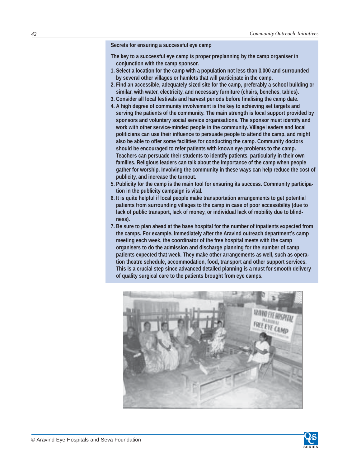**Secrets for ensuring a successful eye camp**

- **The key to a successful eye camp is proper preplanning by the camp organiser in conjunction with the camp sponsor.**
- **1. Select a location for the camp with a population not less than 3,000 and surrounded by several other villages or hamlets that will participate in the camp.**
- **2. Find an accessible, adequately sized site for the camp, preferably a school building or similar, with water, electricity, and necessary furniture (chairs, benches, tables).**
- **3. Consider all local festivals and harvest periods before finalising the camp date.**
- **4. A high degree of community involvement is the key to achieving set targets and serving the patients of the community. The main strength is local support provided by sponsors and voluntary social service organisations. The sponsor must identify and work with other service-minded people in the community. Village leaders and local politicians can use their influence to persuade people to attend the camp, and might also be able to offer some facilities for conducting the camp. Community doctors should be encouraged to refer patients with known eye problems to the camp. Teachers can persuade their students to identify patients, particularly in their own families. Religious leaders can talk about the importance of the camp when people gather for worship. Involving the community in these ways can help reduce the cost of publicity, and increase the turnout.**
- **5. Publicity for the camp is the main tool for ensuring its success. Community participation in the publicity campaign is vital.**
- **6. It is quite helpful if local people make transportation arrangements to get potential patients from surrounding villages to the camp in case of poor accessibility (due to lack of public transport, lack of money, or individual lack of mobility due to blindness).**
- **7. Be sure to plan ahead at the base hospital for the number of inpatients expected from the camps. For example, immediately after the Aravind outreach department's camp meeting each week, the coordinator of the free hospital meets with the camp organisers to do the admission and discharge planning for the number of camp patients expected that week. They make other arrangements as well, such as operation theatre schedule, accommodation, food, transport and other support services. This is a crucial step since advanced detailed planning is a must for smooth delivery of quality surgical care to the patients brought from eye camps.**



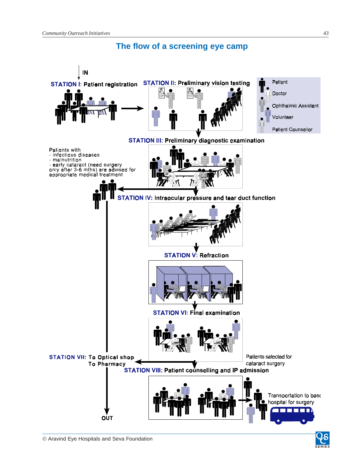

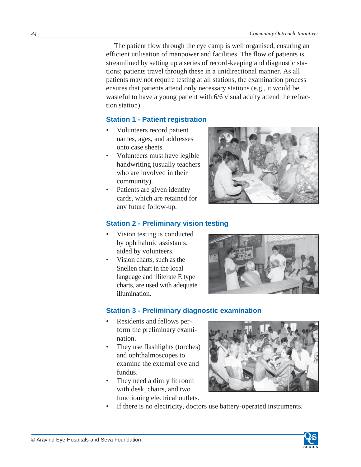The patient flow through the eye camp is well organised, ensuring an efficient utilisation of manpower and facilities. The flow of patients is streamlined by setting up a series of record-keeping and diagnostic stations; patients travel through these in a unidirectional manner. As all patients may not require testing at all stations, the examination process ensures that patients attend only necessary stations (e.g., it would be wasteful to have a young patient with 6/6 visual acuity attend the refraction station).

### **Station 1 - Patient registration**

- Volunteers record patient names, ages, and addresses onto case sheets.
- Volunteers must have legible handwriting (usually teachers who are involved in their community).
- Patients are given identity cards, which are retained for any future follow-up.



### **Station 2 - Preliminary vision testing**

- Vision testing is conducted by ophthalmic assistants, aided by volunteers.
- Vision charts, such as the Snellen chart in the local language and illiterate E type charts, are used with adequate illumination.



### **Station 3 - Preliminary diagnostic examination**

- Residents and fellows perform the preliminary examination.
- They use flashlights (torches) and ophthalmoscopes to examine the external eye and fundus.
- They need a dimly lit room with desk, chairs, and two functioning electrical outlets.



If there is no electricity, doctors use battery-operated instruments.

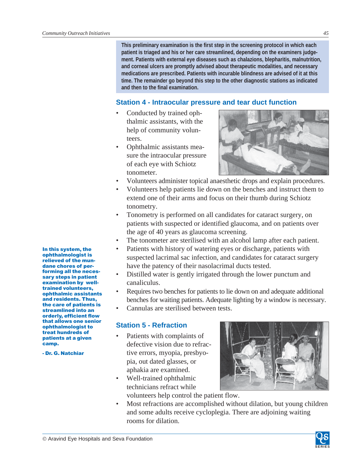**This preliminary examination is the first step in the screening protocol in which each patient is triaged and his or her care streamlined, depending on the examiners judgement. Patients with external eye diseases such as chalazions, blepharitis, malnutrition, and corneal ulcers are promptly advised about therapeutic modalities, and necessary medications are prescribed. Patients with incurable blindness are advised of it at this time. The remainder go beyond this step to the other diagnostic stations as indicated and then to the final examination.**

### **Station 4 - Intraocular pressure and tear duct function**

- Conducted by trained ophthalmic assistants, with the help of community volunteers.
- Ophthalmic assistants measure the intraocular pressure of each eye with Schiotz tonometer.



- Volunteers administer topical anaesthetic drops and explain procedures.
- Volunteers help patients lie down on the benches and instruct them to extend one of their arms and focus on their thumb during Schiotz tonometry.
- Tonometry is performed on all candidates for cataract surgery, on patients with suspected or identified glaucoma, and on patients over the age of 40 years as glaucoma screening.
- The tonometer are sterilised with an alcohol lamp after each patient.
- Patients with history of watering eyes or discharge, patients with suspected lacrimal sac infection, and candidates for cataract surgery have the patency of their nasolacrimal ducts tested.
- Distilled water is gently irrigated through the lower punctum and canaliculus.
- Requires two benches for patients to lie down on and adequate additional benches for waiting patients. Adequate lighting by a window is necessary.
- Cannulas are sterilised between tests.

### **Station 5 - Refraction**

- Patients with complaints of defective vision due to refractive errors, myopia, presbyopia, out dated glasses, or aphakia are examined.
- Well-trained ophthalmic technicians refract while volunteers help control the patient flow.



• Most refractions are accomplished without dilation, but young children and some adults receive cycloplegia. There are adjoining waiting rooms for dilation.

In this system, the ophthalmologist is relieved of the mundane chores of performing all the necessary steps in patient examination by welltrained volunteers, ophthalmic assistants and residents. Thus, the care of patients is streamlined into an orderly, efficient flow that allows one senior ophthalmologist to treat hundreds of patients at a given camp.

- Dr. G. Natchiar

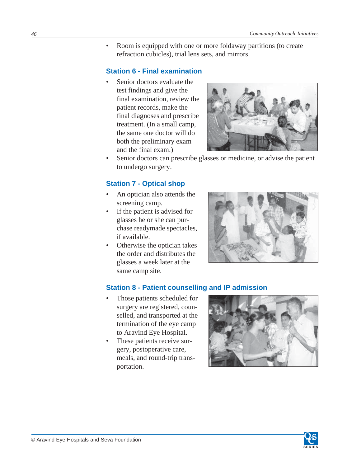• Room is equipped with one or more foldaway partitions (to create refraction cubicles), trial lens sets, and mirrors.

### **Station 6 - Final examination**

Senior doctors evaluate the test findings and give the final examination, review the patient records, make the final diagnoses and prescribe treatment. (In a small camp, the same one doctor will do both the preliminary exam and the final exam.)



Senior doctors can prescribe glasses or medicine, or advise the patient to undergo surgery.

### **Station 7 - Optical shop**

- An optician also attends the screening camp.
- If the patient is advised for glasses he or she can purchase readymade spectacles, if available.
- Otherwise the optician takes the order and distributes the glasses a week later at the same camp site.



### **Station 8 - Patient counselling and IP admission**

- Those patients scheduled for surgery are registered, counselled, and transported at the termination of the eye camp to Aravind Eye Hospital.
- These patients receive surgery, postoperative care, meals, and round-trip transportation.



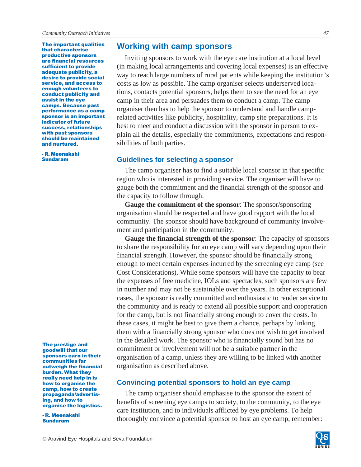**The important qualities** that characterise productive sponsors are financial resources sufficient to provide adequate publicity, a desire to provide social service, and access to enough volunteers to conduct publicity and assist in the eye camps. Because past performance as a camp sponsor is an important indicator of future success, relationships with past sponsors should be maintained and nurtured.

- R. Meenakshi **Sundaram** 

**Working with camp sponsors**

Inviting sponsors to work with the eye care institution at a local level (in making local arrangements and covering local expenses) is an effective way to reach large numbers of rural patients while keeping the institution's costs as low as possible. The camp organiser selects underserved locations, contacts potential sponsors, helps them to see the need for an eye camp in their area and persuades them to conduct a camp. The camp organiser then has to help the sponsor to understand and handle camprelated activities like publicity, hospitality, camp site preparations. It is best to meet and conduct a discussion with the sponsor in person to explain all the details, especially the commitments, expectations and responsibilities of both parties.

### **Guidelines for selecting a sponsor**

The camp organiser has to find a suitable local sponsor in that specific region who is interested in providing service. The organiser will have to gauge both the commitment and the financial strength of the sponsor and the capacity to follow through.

**Gauge the commitment of the sponsor**: The sponsor/sponsoring organisation should be respected and have good rapport with the local community. The sponsor should have background of community involvement and participation in the community.

**Gauge the financial strength of the sponsor**: The capacity of sponsors to share the responsibility for an eye camp will vary depending upon their financial strength. However, the sponsor should be financially strong enough to meet certain expenses incurred by the screening eye camp (see Cost Considerations). While some sponsors will have the capacity to bear the expenses of free medicine, IOLs and spectacles, such sponsors are few in number and may not be sustainable over the years. In other exceptional cases, the sponsor is really committed and enthusiastic to render service to the community and is ready to extend all possible support and cooperation for the camp, but is not financially strong enough to cover the costs. In these cases, it might be best to give them a chance, perhaps by linking them with a financially strong sponsor who does not wish to get involved in the detailed work. The sponsor who is financially sound but has no commitment or involvement will not be a suitable partner in the organisation of a camp, unless they are willing to be linked with another organisation as described above.

### **Convincing potential sponsors to hold an eye camp**

The camp organiser should emphasise to the sponsor the extent of benefits of screening eye camps to society, to the community, to the eye care institution, and to individuals afflicted by eye problems. To help thoroughly convince a potential sponsor to host an eye camp, remember:

The prestige and goodwill that our sponsors earn in their communities far outweigh the financial burden. What they really need help in is how to organise the camp, how to create propaganda/advertising, and how to organise the logistics.

- R. Meenakshi **Sundaram** 

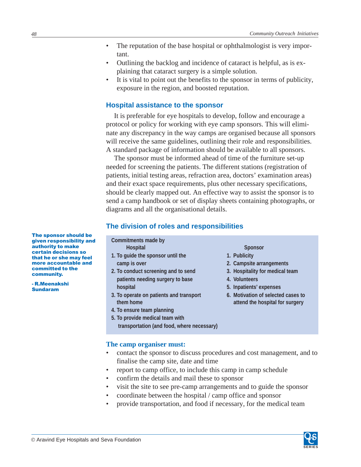- The reputation of the base hospital or ophthalmologist is very important.
- Outlining the backlog and incidence of cataract is helpful, as is explaining that cataract surgery is a simple solution.
- It is vital to point out the benefits to the sponsor in terms of publicity, exposure in the region, and boosted reputation.

### **Hospital assistance to the sponsor**

It is preferable for eye hospitals to develop, follow and encourage a protocol or policy for working with eye camp sponsors. This will eliminate any discrepancy in the way camps are organised because all sponsors will receive the same guidelines, outlining their role and responsibilities. A standard package of information should be available to all sponsors.

The sponsor must be informed ahead of time of the furniture set-up needed for screening the patients. The different stations (registration of patients, initial testing areas, refraction area, doctors' examination areas) and their exact space requirements, plus other necessary specifications, should be clearly mapped out. An effective way to assist the sponsor is to send a camp handbook or set of display sheets containing photographs, or diagrams and all the organisational details.

### **The division of roles and responsibilities**

#### **Commitments made by Hospital Sponsor**

- **1. To guide the sponsor until the 1. Publicity** *Camp* **is over 2. Campsite arrangements**
- **2. To conduct screening and to send 3. Hospitality for medical team patients needing surgery to base 4. Volunteers hospital 5. Inpatients' expenses**
- **3. To operate on patients and transport 6. Motivation of selected cases to** *attend the hospital for surgery*
- **4. To ensure team planning**
- **5. To provide medical team with**
	- **transportation (and food, where necessary)**

### **The camp organiser must:**

- contact the sponsor to discuss procedures and cost management, and to finalise the camp site, date and time
- report to camp office, to include this camp in camp schedule
- confirm the details and mail these to sponsor
- visit the site to see pre-camp arrangements and to guide the sponsor
- coordinate between the hospital / camp office and sponsor
- provide transportation, and food if necessary, for the medical team

The sponsor should be given responsibility and authority to make certain decisions so that he or she may feel more accountable and committed to the community.

<u>- R.Meenakshi</u> Sundaram

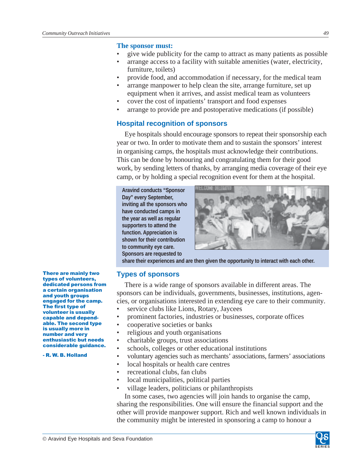#### **The sponsor must:**

- give wide publicity for the camp to attract as many patients as possible
- arrange access to a facility with suitable amenities (water, electricity, furniture, toilets)
- provide food, and accommodation if necessary, for the medical team
- arrange manpower to help clean the site, arrange furniture, set up equipment when it arrives, and assist medical team as volunteers
- cover the cost of inpatients' transport and food expenses
- arrange to provide pre and postoperative medications (if possible)

### **Hospital recognition of sponsors**

Eye hospitals should encourage sponsors to repeat their sponsorship each year or two. In order to motivate them and to sustain the sponsors' interest in organising camps, the hospitals must acknowledge their contributions. This can be done by honouring and congratulating them for their good work, by sending letters of thanks, by arranging media coverage of their eye camp, or by holding a special recognition event for them at the hospital.

**Aravind conducts "Sponsor Day" every September, inviting all the sponsors who have conducted camps in the year as well as regular supporters to attend the function. Appreciation is shown for their contribution to community eye care. Sponsors are requested to**



**share their experiences and are then given the opportunity to interact with each other.**

#### **Types of sponsors**

There is a wide range of sponsors available in different areas. The sponsors can be individuals, governments, businesses, institutions, agencies, or organisations interested in extending eye care to their community.

- service clubs like Lions, Rotary, Jaycees
- prominent factories, industries or businesses, corporate offices
- cooperative societies or banks
- religious and youth organisations
- charitable groups, trust associations
- schools, colleges or other educational institutions
- voluntary agencies such as merchants' associations, farmers' associations
- local hospitals or health care centres
- recreational clubs, fan clubs
- local municipalities, political parties
- village leaders, politicians or philanthropists

In some cases, two agencies will join hands to organise the camp, sharing the responsibilities. One will ensure the financial support and the other will provide manpower support. Rich and well known individuals in the community might be interested in sponsoring a camp to honour a

**There are mainly two** types of volunteers, dedicated persons from a certain organisation and youth groups engaged for the camp. The first type of volunteer is usually capable and dependable. The second type is usually more in number and very enthusiastic but needs considerable guidance.

- R. W. B. Holland

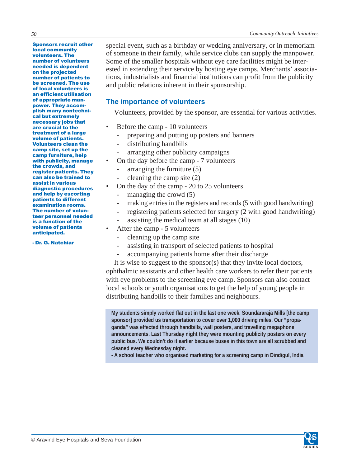**Sponsors recruit other** local community volunteers. The number of volunteers needed is dependent on the projected number of patients to be screened. The use of local volunteers is an efficient utilisation of appropriate manpower. They accomplish many nontechnical but extremely necessary jobs that are crucial to the treatment of a large volume of patients. **Volunteers clean the** camp site, set up the camp furniture, help with publicity, manage the crowds, and register patients. They can also be trained to assist in various diagnostic procedures and help by escorting patients to different examination rooms. The number of volunteer personnel needed is a function of the volume of patients anticipated.

- Dr. G. Natchiar

### special event, such as a birthday or wedding anniversary, or in memoriam of someone in their family, while service clubs can supply the manpower. Some of the smaller hospitals without eye care facilities might be interested in extending their service by hosting eye camps. Merchants' associations, industrialists and financial institutions can profit from the publicity and public relations inherent in their sponsorship.

### **The importance of volunteers**

Volunteers, provided by the sponsor, are essential for various activities.

- Before the camp 10 volunteers
	- preparing and putting up posters and banners
	- distributing handbills
	- arranging other publicity campaigns
- On the day before the camp 7 volunteers
	- $arranging the$  furniture  $(5)$
	- cleaning the camp site  $(2)$
- On the day of the camp 20 to 25 volunteers
	- managing the crowd  $(5)$
	- making entries in the registers and records (5 with good handwriting)
	- registering patients selected for surgery (2 with good handwriting)
	- assisting the medical team at all stages (10)
- After the camp 5 volunteers
	- cleaning up the camp site
	- assisting in transport of selected patients to hospital
	- accompanying patients home after their discharge

It is wise to suggest to the sponsor(s) that they invite local doctors, ophthalmic assistants and other health care workers to refer their patients with eye problems to the screening eye camp. Sponsors can also contact local schools or youth organisations to get the help of young people in distributing handbills to their families and neighbours.

**My students simply worked flat out in the last one week. Soundararaja Mills [the camp sponsor] provided us transportation to cover over 1,000 driving miles. Our "propaganda" was effected through handbills, wall posters, and travelling megaphone announcements. Last Thursday night they were mounting publicity posters on every public bus. We couldn't do it earlier because buses in this town are all scrubbed and cleaned every Wednesday night.**

**- A school teacher who organised marketing for a screening camp in Dindigul, India**

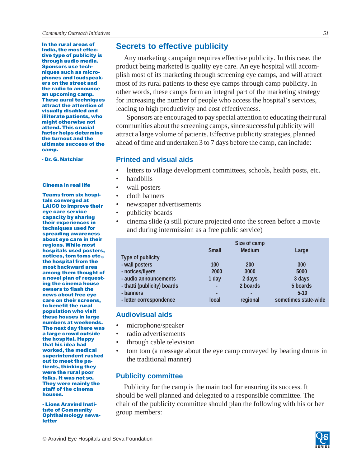In the rural areas of India, the most effective type of publicity is through audio media. **Sponsors use tech**niques such as microphones and loudspeakers on the street and the radio to announce an upcoming camp. **These aural techniques** attract the attention of visually disabled and illiterate patients, who might otherwise not attend. This crucial factor helps determine the turnout and the ultimate success of the camp.

- Dr. G. Natchiar

#### **Cinema in real life**

**Teams from six hospi**tals converged at **LAICO to improve their** eye care service capacity by sharing their experiences in techniques used for spreading awareness about eye care in their regions. While most hospitals used posters, notices, tom toms etc., the hospital from the most backward area among them thought of a novel plan of requesting the cinema house owners to flash the news about free eye care on their screens, to benefit the rural population who visit these houses in large numbers at weekends. The next day there was a large crowd outside the hospital. Happy that his idea had worked, the medical superintendent rushed out to meet the patients, thinking they were the rural poor folks. It was not so. They were mainly the staff of the cinema houses.

- Lions Aravind Institute of Community **Ophthalmology newsletter** 

### **Secrets to effective publicity**

Any marketing campaign requires effective publicity. In this case, the product being marketed is quality eye care. An eye hospital will accomplish most of its marketing through screening eye camps, and will attract most of its rural patients to these eye camps through camp publicity. In other words, these camps form an integral part of the marketing strategy for increasing the number of people who access the hospital's services, leading to high productivity and cost effectiveness.

Sponsors are encouraged to pay special attention to educating their rural communities about the screening camps, since successful publicity will attract a large volume of patients. Effective publicity strategies, planned ahead of time and undertaken 3 to 7 days before the camp, can include:

#### **Printed and visual aids**

- letters to village development committees, schools, health posts, etc.
- handbills
- wall posters
- cloth banners
- newspaper advertisements
- publicity boards
- cinema slide (a still picture projected onto the screen before a movie and during intermission as a free public service)

|                             |                          | Size of camp  |                      |
|-----------------------------|--------------------------|---------------|----------------------|
|                             | <b>Small</b>             | <b>Medium</b> | Large                |
| Type of publicity           |                          |               |                      |
| - wall posters              | 100                      | 200           | 300                  |
| - notices/flyers            | 2000                     | 3000          | 5000                 |
| - audio announcements       | 1 day                    | 2 days        | 3 days               |
| - thatti (publicity) boards | $\overline{\phantom{a}}$ | 2 boards      | 5 boards             |
| - banners                   |                          |               | $5 - 10$             |
| - letter correspondence     | local                    | regional      | sometimes state-wide |

#### **Audiovisual aids**

- microphone/speaker
- radio advertisements
- through cable television
- tom tom (a message about the eye camp conveyed by beating drums in the traditional manner)

### **Publicity committee**

Publicity for the camp is the main tool for ensuring its success. It should be well planned and delegated to a responsible committee. The chair of the publicity committee should plan the following with his or her group members: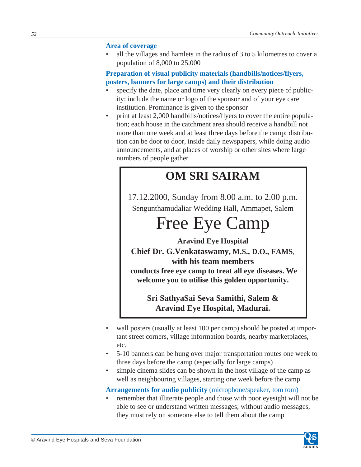### **Area of coverage**

• all the villages and hamlets in the radius of 3 to 5 kilometres to cover a population of 8,000 to 25,000

### **Preparation of visual publicity materials (handbills/notices/flyers, posters, banners for large camps) and their distribution**

- specify the date, place and time very clearly on every piece of publicity; include the name or logo of the sponsor and of your eye care institution. Prominance is given to the sponsor
- print at least 2,000 handbills/notices/flyers to cover the entire population; each house in the catchment area should receive a handbill not more than one week and at least three days before the camp; distribution can be door to door, inside daily newspapers, while doing audio announcements, and at places of worship or other sites where large numbers of people gather

# **OM SRI SAIRAM**

17.12.2000, Sunday from 8.00 a.m. to 2.00 p.m. Sengunthamudaliar Wedding Hall, Ammapet, Salem

# Free Eye Camp

**Aravind Eye Hospital Chief Dr. G.Venkataswamy, M.S., D.O., FAMS**, **with his team members conducts free eye camp to treat all eye diseases. We**

**welcome you to utilise this golden opportunity.**

**Sri SathyaSai Seva Samithi, Salem & Aravind Eye Hospital, Madurai.**

- wall posters (usually at least 100 per camp) should be posted at important street corners, village information boards, nearby marketplaces, etc.
- 5-10 banners can be hung over major transportation routes one week to three days before the camp (especially for large camps)
- simple cinema slides can be shown in the host village of the camp as well as neighbouring villages, starting one week before the camp

**Arrangements for audio publicity** (microphone/speaker, tom tom)

• remember that illiterate people and those with poor eyesight will not be able to see or understand written messages; without audio messages, they must rely on someone else to tell them about the camp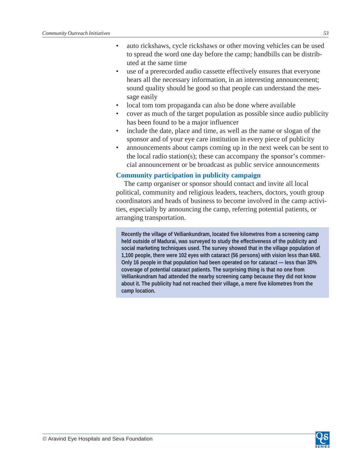- auto rickshaws, cycle rickshaws or other moving vehicles can be used to spread the word one day before the camp; handbills can be distributed at the same time
- use of a prerecorded audio cassette effectively ensures that everyone hears all the necessary information, in an interesting announcement; sound quality should be good so that people can understand the message easily
- local tom tom propaganda can also be done where available
- cover as much of the target population as possible since audio publicity has been found to be a major influencer
- include the date, place and time, as well as the name or slogan of the sponsor and of your eye care institution in every piece of publicity
- announcements about camps coming up in the next week can be sent to the local radio station(s); these can accompany the sponsor's commercial announcement or be broadcast as public service announcements

### **Community participation in publicity campaign**

The camp organiser or sponsor should contact and invite all local political, community and religious leaders, teachers, doctors, youth group coordinators and heads of business to become involved in the camp activities, especially by announcing the camp, referring potential patients, or arranging transportation.

**Recently the village of Velliankundram, located five kilometres from a screening camp held outside of Madurai, was surveyed to study the effectiveness of the publicity and social marketing techniques used. The survey showed that in the village population of 1,100 people, there were 102 eyes with cataract (56 persons) with vision less than 6/60. Only 16 people in that population had been operated on for cataract — less than 30% coverage of potential cataract patients. The surprising thing is that no one from Velliankundram had attended the nearby screening camp because they did not know about it. The publicity had not reached their village, a mere five kilometres from the camp location.**

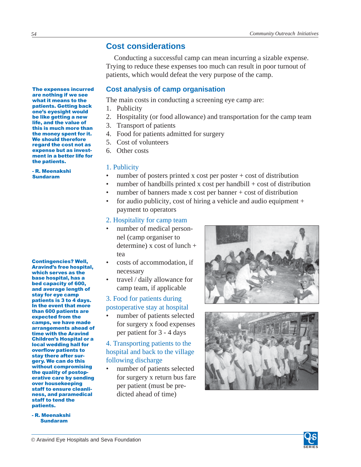### **Cost considerations**

Conducting a successful camp can mean incurring a sizable expense. Trying to reduce these expenses too much can result in poor turnout of patients, which would defeat the very purpose of the camp.

### **Cost analysis of camp organisation**

The main costs in conducting a screening eye camp are:

- 1. Publicity
- 2. Hospitality (or food allowance) and transportation for the camp team
- 3. Transport of patients
- 4. Food for patients admitted for surgery
- 5. Cost of volunteers
- 6. Other costs

### 1. Publicity

- number of posters printed x cost per poster  $+$  cost of distribution
- number of handbills printed x cost per handbill  $+$  cost of distribution
- number of banners made x cost per banner + cost of distribution
- for audio publicity, cost of hiring a vehicle and audio equipment  $+$ payment to operators

### 2. Hospitality for camp team

- number of medical personnel (camp organiser to determine) x cost of lunch + tea
- costs of accommodation, if necessary
- travel / daily allowance for camp team, if applicable

### 3. Food for patients during postoperative stay at hospital

number of patients selected for surgery x food expenses per patient for 3 - 4 days

### 4. Transporting patients to the hospital and back to the village following discharge

number of patients selected for surgery x return bus fare per patient (must be predicted ahead of time)





**The expenses incurred** are nothing if we see what it means to the patients. Getting back one's eyesight would be like getting a new life, and the value of this is much more than the money spent for it. We should therefore regard the cost not as expense but as investment in a better life for the patients.

<u>- R. Meenakshi</u> **Sundaram** 

Contingencies? Well, **Aravind's free hospital,** which serves as the base hospital, has a bed capacity of 600, and average length of stay for eye camp patients is 3 to 4 days. In the event that more than 600 patients are expected from the camps, we have made arrangements ahead of time with the Aravind Children's Hospital or a local wedding hall for overflow patients to stay there after surgery. We can do this without compromising the quality of postoperative care by sending over housekeeping staff to ensure cleanliness, and paramedical staff to tend the patients.

- R. Meenakshi **Sundaram**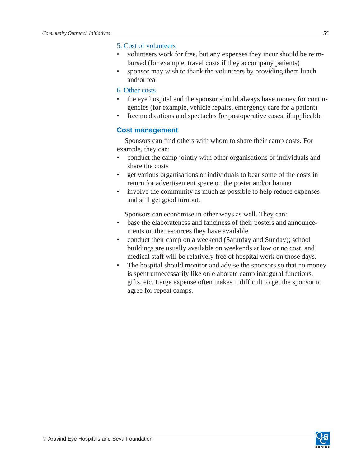#### 5. Cost of volunteers

- volunteers work for free, but any expenses they incur should be reimbursed (for example, travel costs if they accompany patients)
- sponsor may wish to thank the volunteers by providing them lunch and/or tea

### 6. Other costs

- the eye hospital and the sponsor should always have money for contingencies (for example, vehicle repairs, emergency care for a patient)
- free medications and spectacles for postoperative cases, if applicable

### **Cost management**

Sponsors can find others with whom to share their camp costs. For example, they can:

- conduct the camp jointly with other organisations or individuals and share the costs
- get various organisations or individuals to bear some of the costs in return for advertisement space on the poster and/or banner
- involve the community as much as possible to help reduce expenses and still get good turnout.

Sponsors can economise in other ways as well. They can:

- base the elaborateness and fanciness of their posters and announcements on the resources they have available
- conduct their camp on a weekend (Saturday and Sunday); school buildings are usually available on weekends at low or no cost, and medical staff will be relatively free of hospital work on those days.
- The hospital should monitor and advise the sponsors so that no money is spent unnecessarily like on elaborate camp inaugural functions, gifts, etc. Large expense often makes it difficult to get the sponsor to agree for repeat camps.